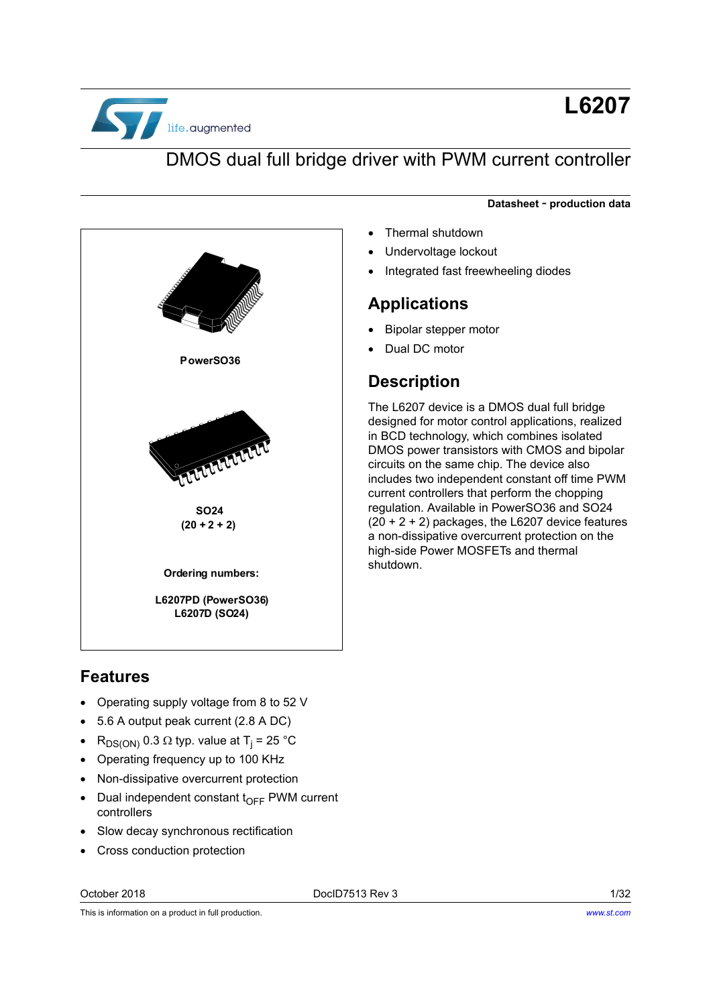

# **L6207**

## DMOS dual full bridge driver with PWM current controller

#### **Datasheet** - **production data**

- Thermal shutdown
- Undervoltage lockout
- Integrated fast freewheeling diodes

#### **Applications**

- Bipolar stepper motor
- Dual DC motor

## **Description**

The L6207 device is a DMOS dual full bridge designed for motor control applications, realized in BCD technology, which combines isolated DMOS power transistors with CMOS and bipolar circuits on the same chip. The device also includes two independent constant off time PWM current controllers that perform the chopping regulation. Available in PowerSO36 and SO24  $(20 + 2 + 2)$  packages, the L6207 device features a non-dissipative overcurrent protection on the high-side Power MOSFETs and thermal

# PowerSO36 **NUCLEARE 62**  $(20 + 2 + 2)$ **Ordering numbers:** 2008 Shutdown. L6207PD (PowerSO36) L6207D (SO24)

## **Features**

- Operating supply voltage from 8 to 52 V
- 5.6 A output peak current (2.8 A DC)
- RDS(ON) 0.3 typ. value at Tj = 25 °C
- Operating frequency up to 100 KHz
- Non-dissipative overcurrent protection
- $\bullet$  Dual independent constant t<sub>OFF</sub> PWM current controllers
- Slow decay synchronous rectification
- Cross conduction protection

October 2018 DocID7513 Rev 3 1/32

This is information on a product in full production.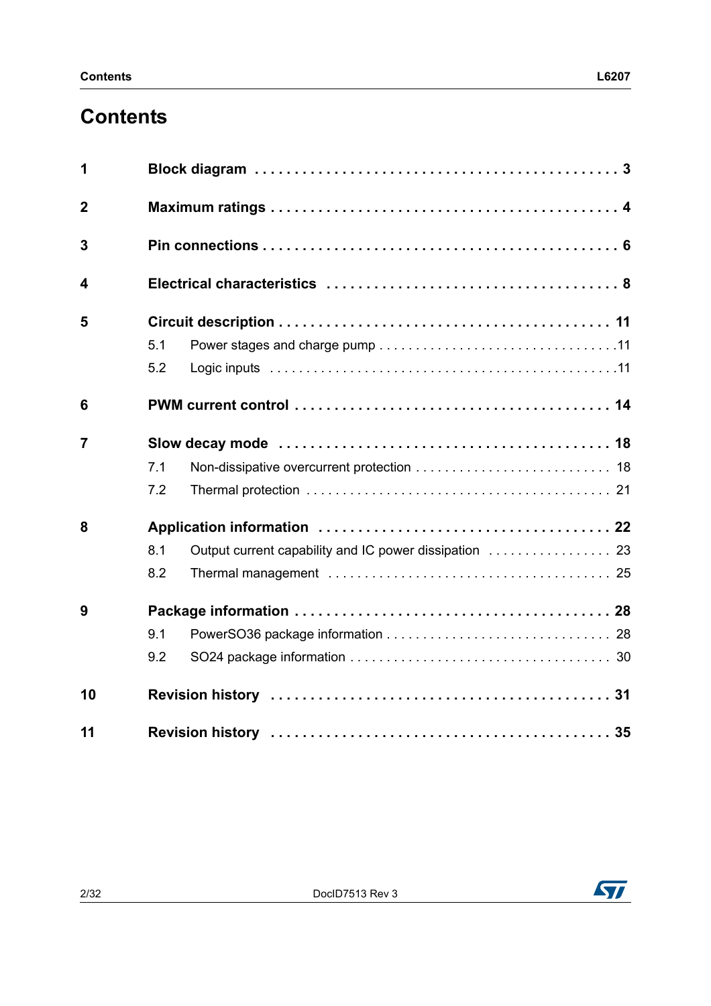# **Contents**

| 1              |     |  |  |  |  |  |  |
|----------------|-----|--|--|--|--|--|--|
| $\overline{2}$ |     |  |  |  |  |  |  |
| 3              |     |  |  |  |  |  |  |
| 4              |     |  |  |  |  |  |  |
| 5              |     |  |  |  |  |  |  |
|                | 5.1 |  |  |  |  |  |  |
|                | 5.2 |  |  |  |  |  |  |
| 6              |     |  |  |  |  |  |  |
| $\overline{7}$ |     |  |  |  |  |  |  |
|                | 7.1 |  |  |  |  |  |  |
|                | 7.2 |  |  |  |  |  |  |
| 8              |     |  |  |  |  |  |  |
|                | 8.1 |  |  |  |  |  |  |
|                | 8.2 |  |  |  |  |  |  |
| 9              |     |  |  |  |  |  |  |
|                | 9.1 |  |  |  |  |  |  |
|                | 9.2 |  |  |  |  |  |  |
| 10             |     |  |  |  |  |  |  |
| 11             |     |  |  |  |  |  |  |

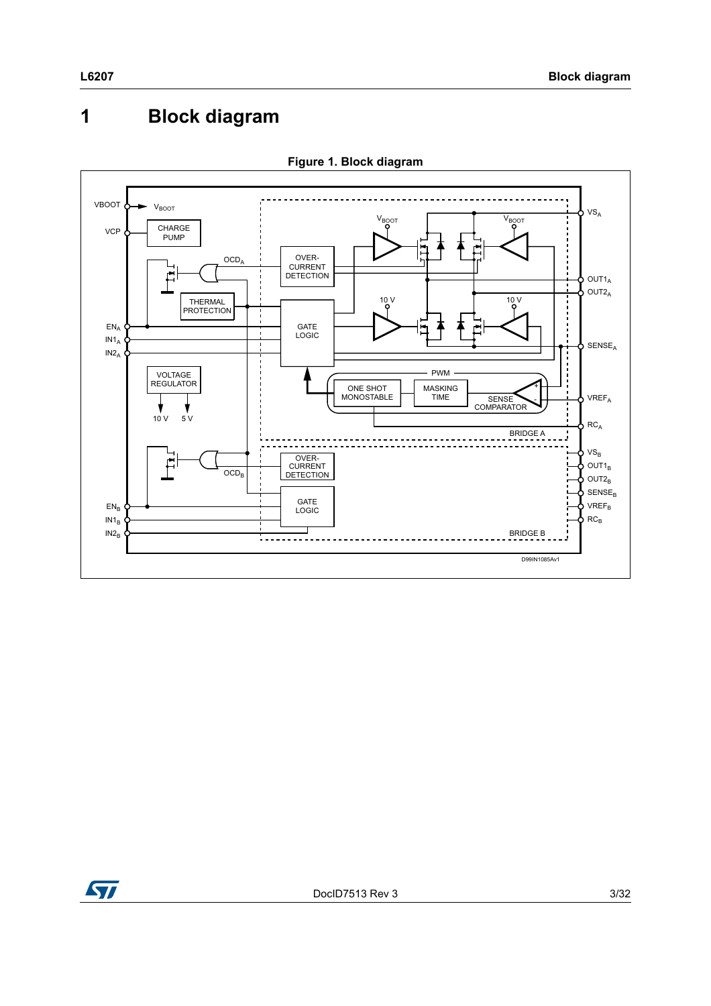# <span id="page-2-0"></span>**1 Block diagram**





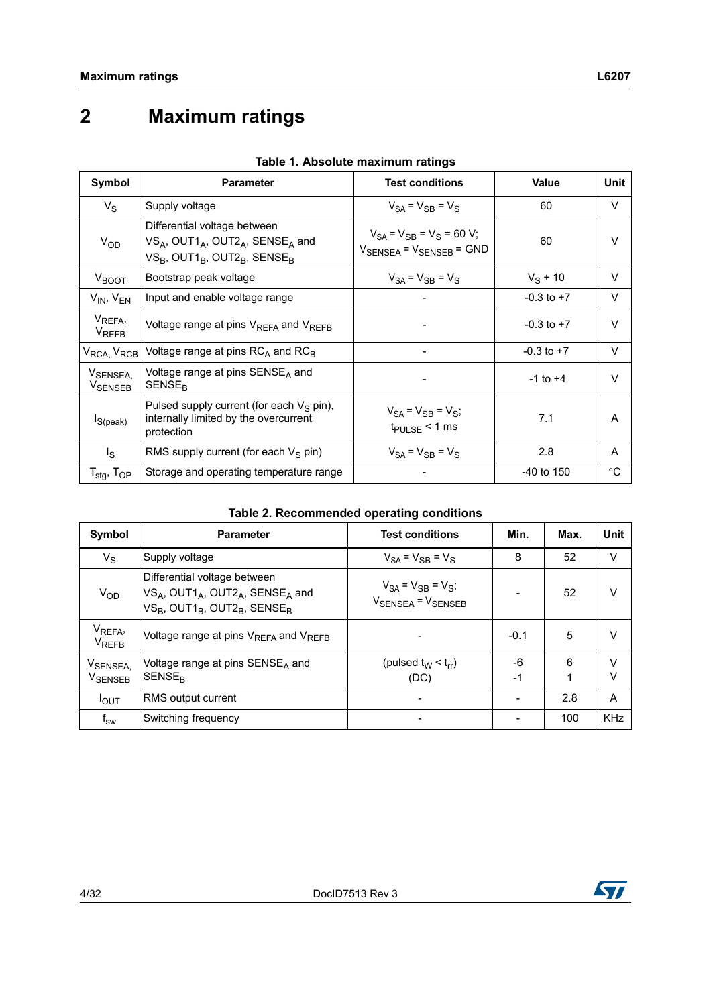# <span id="page-3-0"></span>**2 Maximum ratings**

| Symbol                                         | <b>Parameter</b>                                                                                                                                       | <b>Test conditions</b>                                                             | Value          | <b>Unit</b> |
|------------------------------------------------|--------------------------------------------------------------------------------------------------------------------------------------------------------|------------------------------------------------------------------------------------|----------------|-------------|
| $V_{\rm S}$                                    | Supply voltage                                                                                                                                         | $V_{SA} = V_{SB} = V_S$                                                            | 60             | V           |
| V <sub>OD</sub>                                | Differential voltage between<br>$VS_A$ , OUT1 <sub>A</sub> , OUT2 <sub>A</sub> , SENSE <sub>A</sub> and<br>$VS_B$ , OUT1 $_B$ , OUT2 $_B$ , SENSE $_B$ | $V_{SA} = V_{SB} = V_S = 60 V;$<br>$V_{\text{SENSEA}}$ = $V_{\text{SENSEB}}$ = GND | 60             | $\vee$      |
| $V_{\text{BOOT}}$                              | Bootstrap peak voltage                                                                                                                                 | $V_{SA} = V_{SB} = V_S$                                                            | $V_S$ + 10     | V           |
| $V_{IN}$ , $V_{EN}$                            | Input and enable voltage range                                                                                                                         | -                                                                                  | $-0.3$ to $+7$ | $\vee$      |
| V <sub>REFA</sub> ,<br><b>V<sub>REFB</sub></b> | Voltage range at pins V <sub>REFA</sub> and V <sub>REFB</sub>                                                                                          |                                                                                    | $-0.3$ to $+7$ | $\vee$      |
| V <sub>RCA,</sub> V <sub>RCB</sub>             | Voltage range at pins $RC_A$ and $RC_B$                                                                                                                |                                                                                    | $-0.3$ to $+7$ | $\vee$      |
| V <sub>SENSEA,</sub><br>V <sub>SENSEB</sub>    | Voltage range at pins SENSE <sub>A</sub> and<br><b>SENSE<sub>R</sub></b>                                                                               |                                                                                    | $-1$ to $+4$   | $\vee$      |
| $I_{S(peak)}$                                  | Pulsed supply current (for each $V_S$ pin),<br>internally limited by the overcurrent<br>protection                                                     | $V_{SA}$ = $V_{SB}$ = $V_{S}$ ;<br>$t_{\text{PULSE}}$ < 1 ms                       | 7.1            | A           |
| $I_{\rm S}$                                    | RMS supply current (for each $V_S$ pin)                                                                                                                | $V_{SA} = V_{SB} = V_S$                                                            | 2.8            | A           |
| $T_{\text{stg}}$ , $T_{\text{OP}}$             | Storage and operating temperature range                                                                                                                |                                                                                    | $-40$ to 150   | $^{\circ}C$ |

#### **Table 1. Absolute maximum ratings**

#### **Table 2. Recommended operating conditions**

<span id="page-3-1"></span>

| Symbol                                   | <b>Parameter</b>                                                                                                                                                               | <b>Test conditions</b>                                                 | Min.   | Max. | <b>Unit</b> |
|------------------------------------------|--------------------------------------------------------------------------------------------------------------------------------------------------------------------------------|------------------------------------------------------------------------|--------|------|-------------|
| $V_S$                                    | Supply voltage                                                                                                                                                                 | $V_{SA} = V_{SB} = V_S$                                                | 8      | 52   | V           |
| $V_{OD}$                                 | Differential voltage between<br>$VS_A$ , OUT1 <sub>A</sub> , OUT2 <sub>A</sub> , SENSE <sub>A</sub> and<br>$VS_B$ , OUT1 <sub>B</sub> , OUT2 <sub>B</sub> , SENSE <sub>B</sub> | $V_{SA} = V_{SB} = V_{S}$ ;<br>$V_{\text{SENSEA}} = V_{\text{SENSEB}}$ |        | 52   | $\vee$      |
| V <sub>REFA</sub> ,<br>$V_{\text{REFB}}$ | Voltage range at pins V <sub>REFA</sub> and V <sub>REFB</sub>                                                                                                                  |                                                                        | $-0.1$ | 5    | $\vee$      |
| V <sub>SENSEA,</sub>                     | Voltage range at pins $SENSEA$ and                                                                                                                                             | (pulsed $t_W < t_{rr}$ )                                               | -6     | 6    | $\vee$      |
| V <sub>SENSEB</sub>                      | <b>SENSE<sub>R</sub></b>                                                                                                                                                       | (DC)                                                                   | $-1$   | 1    | $\vee$      |
| $I_{OUT}$                                | RMS output current                                                                                                                                                             |                                                                        |        | 2.8  | A           |
| $\mathsf{f}_\mathsf{sw}$                 | Switching frequency                                                                                                                                                            |                                                                        |        | 100  | <b>KHz</b>  |

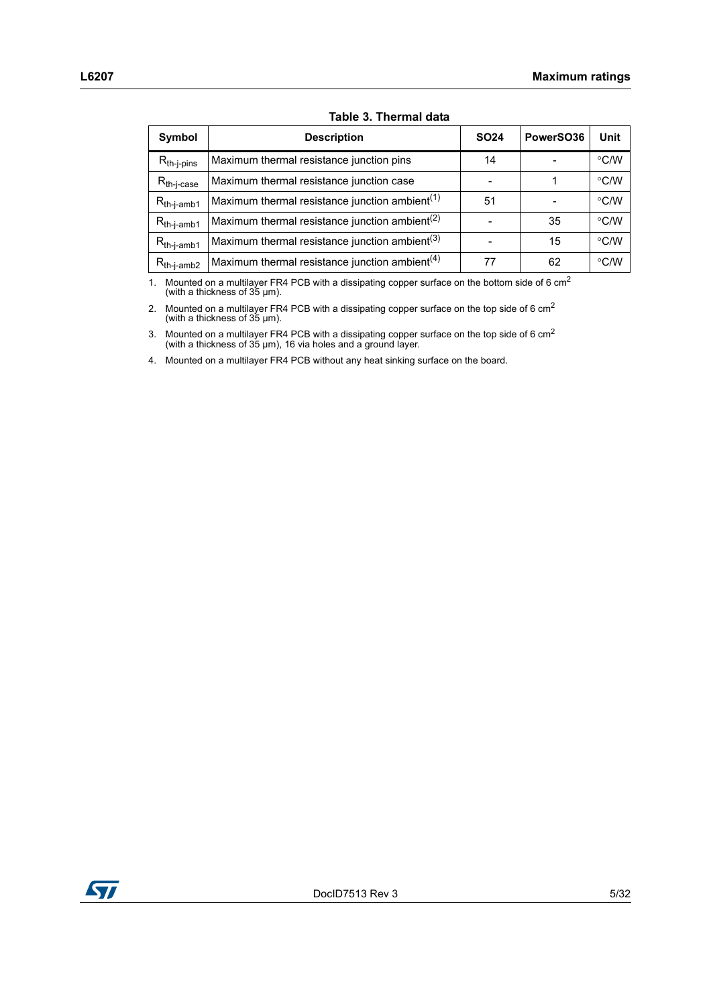| Symbol          | <b>Description</b>                                         | <b>SO24</b> | PowerSO36 | Unit               |
|-----------------|------------------------------------------------------------|-------------|-----------|--------------------|
| $R_{th-j-pins}$ | Maximum thermal resistance junction pins                   | 14          |           | $\degree$ C/W      |
| $R_{th-j-case}$ | Maximum thermal resistance junction case                   |             |           | $\degree$ C/W      |
| $R_{th-i-amb1}$ | Maximum thermal resistance junction ambient <sup>(1)</sup> | 51          |           | $\degree$ C/W      |
| $R_{th-j-amb1}$ | Maximum thermal resistance junction ambient <sup>(2)</sup> |             | 35        | $\degree$ C/W      |
| $R_{th-j-amb1}$ | Maximum thermal resistance junction ambient <sup>(3)</sup> |             | 15        | $\degree$ C/W      |
| $R_{th-i-amb2}$ | Maximum thermal resistance junction ambient <sup>(4)</sup> | 77          | 62        | $\rm ^{\circ}$ C/W |

#### **Table 3. Thermal data**

1. Mounted on a multilayer FR4 PCB with a dissipating copper surface on the bottom side of 6 cm<sup>2</sup> (with a thickness of 35 µm).

2. Mounted on a multilayer FR4 PCB with a dissipating copper surface on the top side of 6 cm<sup>2</sup> (with a thickness of 35 µm).

3. Mounted on a multilayer FR4 PCB with a dissipating copper surface on the top side of 6 cm<sup>2</sup> (with a thickness of 35 µm), 16 via holes and a ground layer.

4. Mounted on a multilayer FR4 PCB without any heat sinking surface on the board.

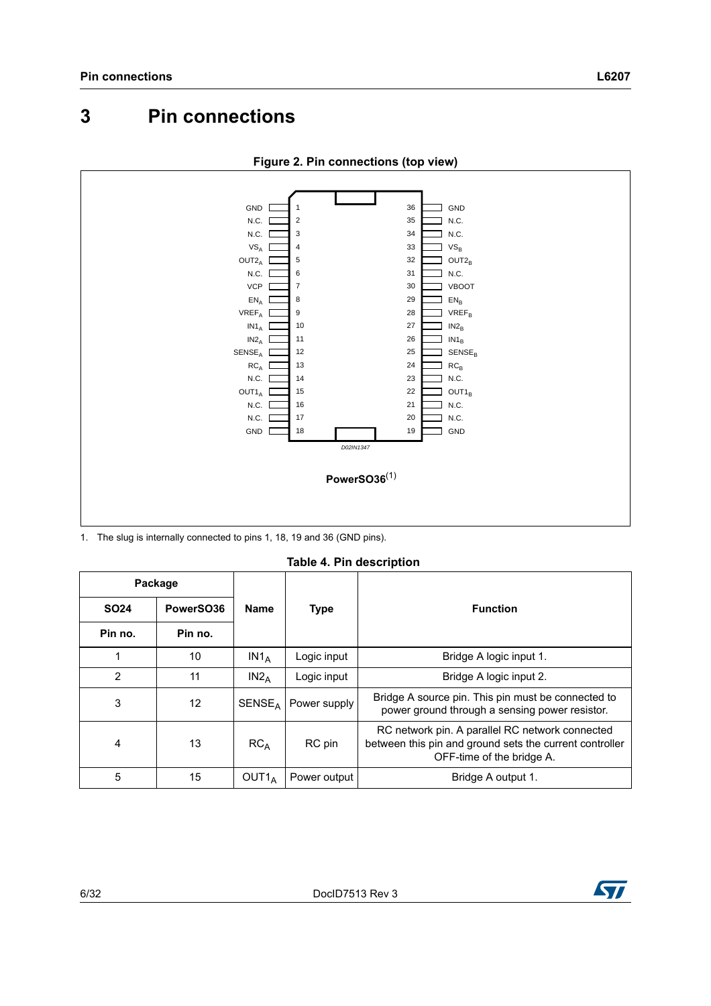## <span id="page-5-0"></span>**3 Pin connections**



**Figure 2. Pin connections (top view)**

1. The slug is internally connected to pins 1, 18, 19 and 36 (GND pins).

**Table 4. Pin description**

<span id="page-5-1"></span>

| Package        |                 |                           |              |                                                                                                                                         |
|----------------|-----------------|---------------------------|--------------|-----------------------------------------------------------------------------------------------------------------------------------------|
| <b>SO24</b>    | PowerSO36       | <b>Name</b>               | <b>Type</b>  | <b>Function</b>                                                                                                                         |
| Pin no.        | Pin no.         |                           |              |                                                                                                                                         |
|                | 10              | $IN1_A$                   | Logic input  | Bridge A logic input 1.                                                                                                                 |
| $\overline{2}$ | 11              | $IN2_A$                   | Logic input  | Bridge A logic input 2.                                                                                                                 |
| 3              | 12 <sup>°</sup> | <b>SENSE</b> <sub>A</sub> | Power supply | Bridge A source pin. This pin must be connected to<br>power ground through a sensing power resistor.                                    |
| $\overline{4}$ | 13              | RC <sub>A</sub>           | RC pin       | RC network pin. A parallel RC network connected<br>between this pin and ground sets the current controller<br>OFF-time of the bridge A. |
| 5              | 15              | OUT <sub>1</sub>          | Power output | Bridge A output 1.                                                                                                                      |

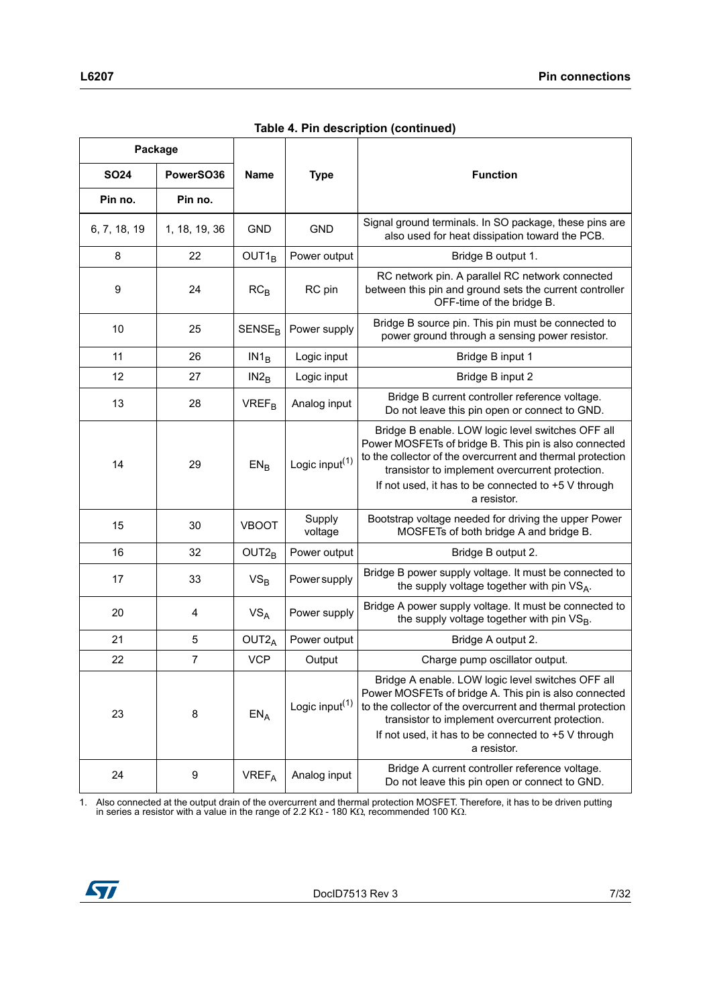|  | Table 4. Pin description (continued) |
|--|--------------------------------------|
|  |                                      |

| Package      |                |                          |                            |                                                                                                                                                                                                                                                                                                   |
|--------------|----------------|--------------------------|----------------------------|---------------------------------------------------------------------------------------------------------------------------------------------------------------------------------------------------------------------------------------------------------------------------------------------------|
| <b>SO24</b>  | PowerSO36      | <b>Name</b>              | <b>Type</b>                | <b>Function</b>                                                                                                                                                                                                                                                                                   |
| Pin no.      | Pin no.        |                          |                            |                                                                                                                                                                                                                                                                                                   |
| 6, 7, 18, 19 | 1, 18, 19, 36  | <b>GND</b>               | <b>GND</b>                 | Signal ground terminals. In SO package, these pins are<br>also used for heat dissipation toward the PCB.                                                                                                                                                                                          |
| 8            | 22             | OUT1 <sub>B</sub>        | Power output               | Bridge B output 1.                                                                                                                                                                                                                                                                                |
| 9            | 24             | RC <sub>B</sub>          | RC pin                     | RC network pin. A parallel RC network connected<br>between this pin and ground sets the current controller<br>OFF-time of the bridge B.                                                                                                                                                           |
| 10           | 25             | <b>SENSE<sub>R</sub></b> | Power supply               | Bridge B source pin. This pin must be connected to<br>power ground through a sensing power resistor.                                                                                                                                                                                              |
| 11           | 26             | $IN1_B$                  | Logic input                | Bridge B input 1                                                                                                                                                                                                                                                                                  |
| 12           | 27             | IN2 <sub>B</sub>         | Logic input                | Bridge B input 2                                                                                                                                                                                                                                                                                  |
| 13           | 28             | <b>VREF<sub>B</sub></b>  | Analog input               | Bridge B current controller reference voltage.<br>Do not leave this pin open or connect to GND.                                                                                                                                                                                                   |
| 14           | 29             | EN <sub>B</sub>          | Logic input <sup>(1)</sup> | Bridge B enable. LOW logic level switches OFF all<br>Power MOSFETs of bridge B. This pin is also connected<br>to the collector of the overcurrent and thermal protection<br>transistor to implement overcurrent protection.<br>If not used, it has to be connected to +5 V through<br>a resistor. |
| 15           | 30             | <b>VBOOT</b>             | Supply<br>voltage          | Bootstrap voltage needed for driving the upper Power<br>MOSFETs of both bridge A and bridge B.                                                                                                                                                                                                    |
| 16           | 32             | $OUT2_B$                 | Power output               | Bridge B output 2.                                                                                                                                                                                                                                                                                |
| 17           | 33             | $VS_B$                   | Power supply               | Bridge B power supply voltage. It must be connected to<br>the supply voltage together with pin VSA.                                                                                                                                                                                               |
| 20           | 4              | $VS_A$                   | Power supply               | Bridge A power supply voltage. It must be connected to<br>the supply voltage together with pin VS <sub>B</sub> .                                                                                                                                                                                  |
| 21           | 5              | OUT2 <sub>A</sub>        | Power output               | Bridge A output 2.                                                                                                                                                                                                                                                                                |
| 22           | $\overline{7}$ | <b>VCP</b>               | Output                     | Charge pump oscillator output.                                                                                                                                                                                                                                                                    |
| 23           | 8              | $EN_A$                   | Logic input <sup>(1)</sup> | Bridge A enable. LOW logic level switches OFF all<br>Power MOSFETs of bridge A. This pin is also connected<br>to the collector of the overcurrent and thermal protection<br>transistor to implement overcurrent protection.<br>If not used, it has to be connected to +5 V through<br>a resistor. |
| 24           | 9              | <b>VREF<sub>A</sub></b>  | Analog input               | Bridge A current controller reference voltage.<br>Do not leave this pin open or connect to GND.                                                                                                                                                                                                   |

1. Also connected at the output drain of the overcurrent and thermal protection MOSFET. Therefore, it has to be driven putting in series a resistor with a value in the range of 2.2 K $\Omega$  - 180 K $\Omega$ , recommended 100 K $\Omega$ 

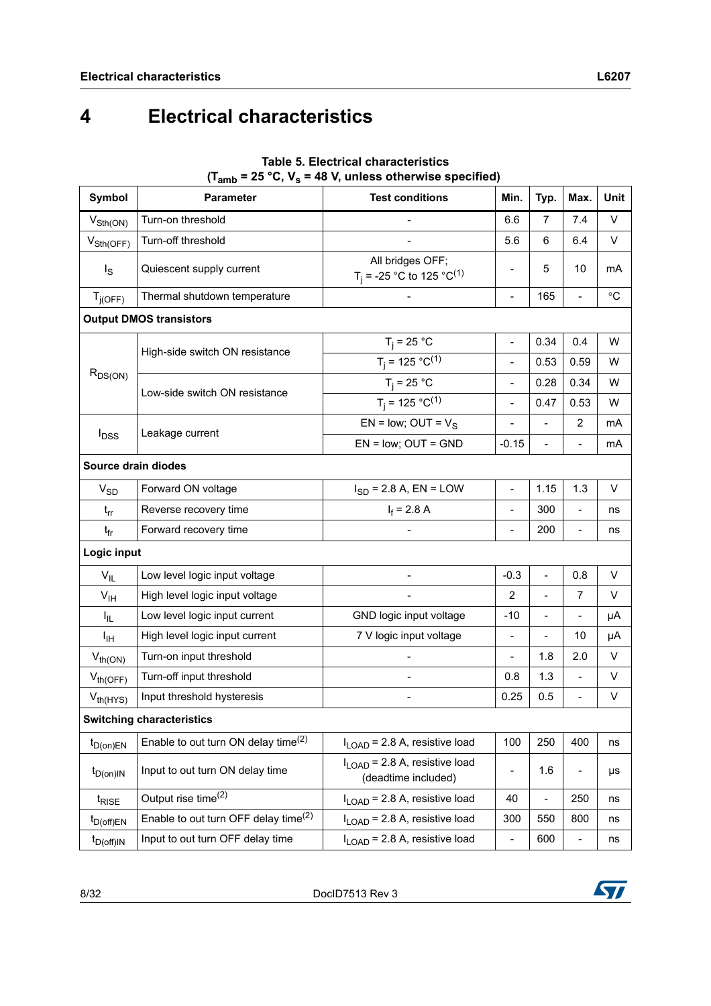# <span id="page-7-0"></span>**4 Electrical characteristics**

| Symbol                      | <b>Parameter</b>                                 | $\mathbf{u}_{\text{amb}}$ = 25 $\mathbf{v}, \mathbf{v}_{\text{s}}$ = 40 $\mathbf{v}, \mathbf{u}$ uness otherwise specified)<br><b>Test conditions</b> | Min.                     | Typ.                     | Max.                         | <b>Unit</b>     |
|-----------------------------|--------------------------------------------------|-------------------------------------------------------------------------------------------------------------------------------------------------------|--------------------------|--------------------------|------------------------------|-----------------|
| $V_{\text{Sth}(\text{ON})}$ | Turn-on threshold                                |                                                                                                                                                       | 6.6                      | 7                        | 7.4                          | $\vee$          |
| $V_{\text{Sth(OFF)}}$       | Turn-off threshold                               |                                                                                                                                                       | 5.6                      | 6                        | 6.4                          | V               |
| $I_{\rm S}$                 | Quiescent supply current                         | All bridges OFF;<br>T <sub>j</sub> = -25 °C to 125 °C <sup>(1)</sup>                                                                                  |                          | 5                        | 10                           | mA              |
| $T_{j(OFF)}$                | Thermal shutdown temperature                     |                                                                                                                                                       | $\frac{1}{2}$            | 165                      | $\overline{a}$               | $\rm ^{\circ}C$ |
|                             | <b>Output DMOS transistors</b>                   |                                                                                                                                                       |                          |                          |                              |                 |
|                             |                                                  | $T_j = 25 °C$                                                                                                                                         | $\overline{a}$           | 0.34                     | 0.4                          | W               |
|                             | High-side switch ON resistance                   | $T_j = 125 °C^{(1)}$                                                                                                                                  | $\overline{a}$           | 0.53                     | 0.59                         | W               |
| $R_{DS(ON)}$                |                                                  | $T_j = 25 °C$                                                                                                                                         | $\frac{1}{2}$            | 0.28                     | 0.34                         | W               |
|                             | Low-side switch ON resistance                    | $T_i = 125 °C^{(1)}$                                                                                                                                  | $\frac{1}{2}$            | 0.47                     | 0.53                         | W               |
|                             |                                                  | EN = low; OUT = $V_S$                                                                                                                                 | $\blacksquare$           | $\overline{a}$           | $\overline{2}$               | mA              |
| $I_{DSS}$                   | Leakage current                                  | $EN = low$ ; $OUT = GND$                                                                                                                              | $-0.15$                  | -                        | $\frac{1}{2}$                | mA              |
| Source drain diodes         |                                                  |                                                                                                                                                       |                          |                          |                              |                 |
| $V_{SD}$                    | Forward ON voltage                               | $I_{SD}$ = 2.8 A, EN = LOW                                                                                                                            | $\blacksquare$           | 1.15                     | 1.3                          | V               |
| $t_{rr}$                    | Reverse recovery time                            | $I_f = 2.8 A$                                                                                                                                         | $\blacksquare$           | 300                      | $\overline{a}$               | ns              |
| t <sub>fr</sub>             | Forward recovery time                            |                                                                                                                                                       | $\frac{1}{2}$            | 200                      | $\qquad \qquad \blacksquare$ | ns              |
| Logic input                 |                                                  |                                                                                                                                                       |                          |                          |                              |                 |
| $V_{IL}$                    | Low level logic input voltage                    |                                                                                                                                                       | $-0.3$                   | $\overline{\phantom{0}}$ | 0.8                          | V               |
| V <sub>IH</sub>             | High level logic input voltage                   |                                                                                                                                                       | $\overline{2}$           | $\overline{a}$           | $\overline{7}$               | V               |
| I <sub>IL</sub>             | Low level logic input current                    | GND logic input voltage                                                                                                                               | $-10$                    | -                        | $\overline{\phantom{0}}$     | μA              |
| Iн                          | High level logic input current                   | 7 V logic input voltage                                                                                                                               | $\overline{\phantom{a}}$ |                          | 10                           | μA              |
| $V_{th(ON)}$                | Turn-on input threshold                          |                                                                                                                                                       | $\overline{a}$           | 1.8                      | 2.0                          | V               |
| $V_{th(OFF)}$               | Turn-off input threshold                         |                                                                                                                                                       | 0.8                      | 1.3                      | $\overline{a}$               | V               |
| $V_{th(HYS)}$               | Input threshold hysteresis                       |                                                                                                                                                       | 0.25                     | 0.5                      | $\overline{a}$               | V               |
|                             | <b>Switching characteristics</b>                 |                                                                                                                                                       |                          |                          |                              |                 |
| $t_{D(0n)EN}$               | Enable to out turn ON delay time $^{(2)}$        | $I_{\text{LOAD}}$ = 2.8 A, resistive load                                                                                                             | 100                      | 250                      | 400                          | ns              |
| $t_{D(0n)IN}$               | Input to out turn ON delay time                  | $I_{\text{LOAD}}$ = 2.8 A, resistive load<br>(deadtime included)                                                                                      |                          | 1.6                      | -                            | μs              |
| t <sub>RISE</sub>           | Output rise time <sup>(2)</sup>                  | $I_{\text{LOAD}}$ = 2.8 A, resistive load                                                                                                             | 40                       | $\overline{a}$           | 250                          | ns              |
| $t_{D(off)EN}$              | Enable to out turn OFF delay time <sup>(2)</sup> | $I_{\text{LOAD}}$ = 2.8 A, resistive load                                                                                                             | 300                      | 550                      | 800                          | ns              |
| $t_{D(off)IN}$              | Input to out turn OFF delay time                 | $I_{LOAD}$ = 2.8 A, resistive load                                                                                                                    | $\overline{\phantom{0}}$ | 600                      |                              | ns              |

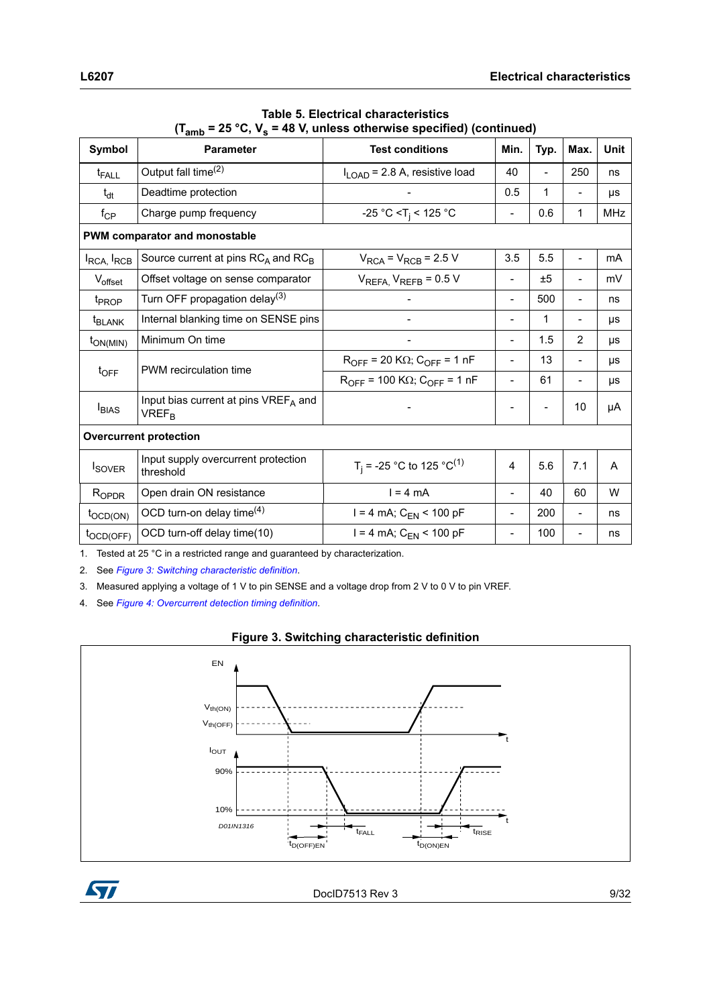| Symbol                             | ∖∙amp<br>- -, · s<br><b>Parameter</b>                                       | <b>Test conditions</b>                               | Min.                     | Typ.           | Max.                     | Unit       |  |
|------------------------------------|-----------------------------------------------------------------------------|------------------------------------------------------|--------------------------|----------------|--------------------------|------------|--|
| $t_{FALL}$                         | Output fall time <sup>(2)</sup>                                             | $I_{\text{LOAD}}$ = 2.8 A, resistive load            | 40                       | $\overline{a}$ | 250                      | ns         |  |
| $t_{dt}$                           | Deadtime protection                                                         |                                                      | 0.5                      | 1              |                          | μs         |  |
| $f_{\rm CP}$                       | Charge pump frequency                                                       | -25 °C < T <sub>i</sub> < 125 °C                     | $\overline{\phantom{a}}$ | 0.6            | 1                        | <b>MHz</b> |  |
|                                    | <b>PWM comparator and monostable</b>                                        |                                                      |                          |                |                          |            |  |
| I <sub>RCA,</sub> I <sub>RCB</sub> | Source current at pins $RC_A$ and $RC_B$                                    | $V_{RCA}$ = $V_{RCB}$ = 2.5 V                        | 3.5                      | 5.5            | $\blacksquare$           | mA         |  |
| $V_{offset}$                       | Offset voltage on sense comparator                                          | $V_{REFA, V_{REFB} = 0.5 V$                          | $\overline{\phantom{a}}$ | ±5             | -                        | mV         |  |
| t <sub>PROP</sub>                  | Turn OFF propagation delay <sup>(3)</sup>                                   |                                                      | $\overline{\phantom{a}}$ | 500            |                          | ns         |  |
| <sup>t</sup> BLANK                 | Internal blanking time on SENSE pins                                        |                                                      | $\overline{\phantom{m}}$ | $\mathbf{1}$   | $\overline{\phantom{0}}$ | μs         |  |
| $t_{ON(MIN)}$                      | Minimum On time                                                             |                                                      | $\overline{\phantom{m}}$ | 1.5            | 2                        | μs         |  |
|                                    | PWM recirculation time                                                      | $R_{OFF}$ = 20 K $\Omega$ ; C <sub>OFF</sub> = 1 nF  |                          | 13             |                          | μs         |  |
| $t_{\text{OFF}}$                   |                                                                             | $R_{OFF}$ = 100 K $\Omega$ ; C <sub>OFF</sub> = 1 nF |                          | 61             | $\overline{\phantom{a}}$ | μs         |  |
| <b>I</b> BIAS                      | Input bias current at pins VREF <sub>A</sub> and<br><b>VREF<sub>R</sub></b> |                                                      |                          |                | 10                       | μA         |  |
|                                    | <b>Overcurrent protection</b>                                               |                                                      |                          |                |                          |            |  |
| <b>I</b> SOVER                     | Input supply overcurrent protection<br>threshold                            | T <sub>i</sub> = -25 °C to 125 °C <sup>(1)</sup>     | 4                        | 5.6            | 7.1                      | A          |  |
| $R_{OPDR}$                         | Open drain ON resistance                                                    | $l = 4 mA$                                           |                          | 40             | 60                       | W          |  |
| $t_{\text{OCD(ON)}}$               | OCD turn-on delay time $(4)$                                                | $I = 4$ mA; $C_{EN}$ < 100 pF                        | $\overline{\phantom{m}}$ | 200            | $\overline{\phantom{a}}$ | ns         |  |
| $t_{\text{OCD(OFF)}}$              | OCD turn-off delay time(10)                                                 | $I = 4$ mA; $C_{EN}$ < 100 pF                        | $\overline{\phantom{m}}$ | 100            | $\overline{\phantom{a}}$ | ns         |  |

**Table 5. Electrical characteristics**  $(T_{\text{sub}} = 25 \text{ °C}$ ,  $V_s = 48 \text{ V}$ , unless otherwise specified) (continued)

1. Tested at 25 °C in a restricted range and guaranteed by characterization.

2. See *[Figure 3: Switching characteristic definition](#page-8-0)*.

3. Measured applying a voltage of 1 V to pin SENSE and a voltage drop from 2 V to 0 V to pin VREF.

4. See *[Figure 4: Overcurrent detection timing definition](#page-9-0)*.



<span id="page-8-0"></span>

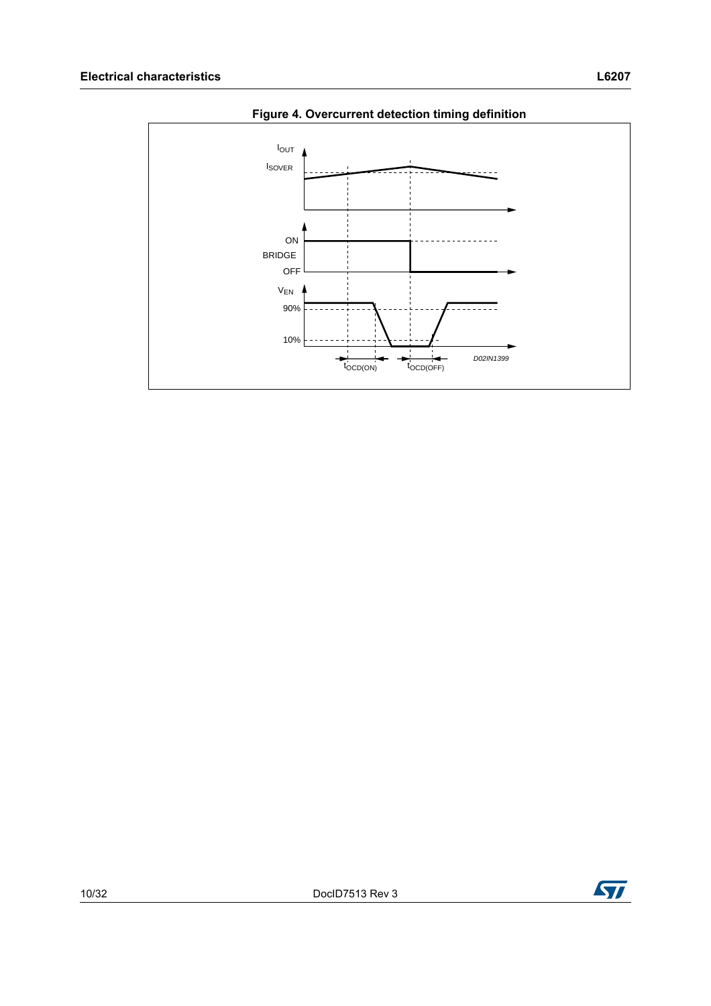<span id="page-9-0"></span>

**Figure 4. Overcurrent detection timing definition**

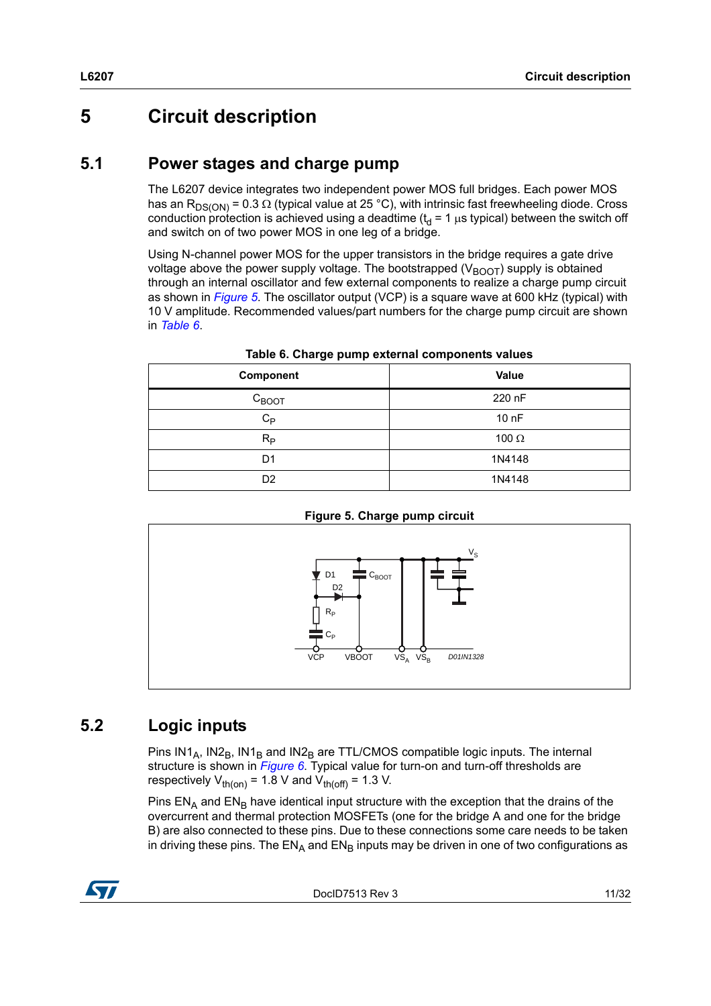## <span id="page-10-0"></span>**5 Circuit description**

#### <span id="page-10-1"></span>**5.1 Power stages and charge pump**

The L6207 device integrates two independent power MOS full bridges. Each power MOS has an R<sub>DS(ON)</sub> = 0.3  $\Omega$  (typical value at 25 °C), with intrinsic fast freewheeling diode. Cross conduction protection is achieved using a deadtime ( $t_d$  = 1  $\mu$ s typical) between the switch off and switch on of two power MOS in one leg of a bridge.

Using N-channel power MOS for the upper transistors in the bridge requires a gate drive voltage above the power supply voltage. The bootstrapped ( $V_{\text{BOOT}}$ ) supply is obtained through an internal oscillator and few external components to realize a charge pump circuit as shown in *[Figure 5](#page-10-3)*. The oscillator output (VCP) is a square wave at 600 kHz (typical) with 10 V amplitude. Recommended values/part numbers for the charge pump circuit are shown in *[Table 6](#page-10-4)*.

<span id="page-10-4"></span>

| Component         | Value        |
|-------------------|--------------|
| $C_{\text{BOOT}}$ | 220 nF       |
| $C_{P}$           | 10 nF        |
| $R_{\rm P}$       | 100 $\Omega$ |
| D <sub>1</sub>    | 1N4148       |
| D <sub>2</sub>    | 1N4148       |

**Table 6. Charge pump external components values**

![](_page_10_Figure_7.jpeg)

<span id="page-10-3"></span>![](_page_10_Figure_8.jpeg)

## <span id="page-10-2"></span>**5.2 Logic inputs**

Pins  $IN1_A$ ,  $IN2_B$ ,  $IN1_B$  and  $IN2_B$  are TTL/CMOS compatible logic inputs. The internal structure is shown in *[Figure 6](#page-11-0)*. Typical value for turn-on and turn-off thresholds are respectively  $V_{th (on)} = 1.8$  V and  $V_{th (off)} = 1.3$  V.

Pins  $EN_A$  and  $EN_B$  have identical input structure with the exception that the drains of the overcurrent and thermal protection MOSFETs (one for the bridge A and one for the bridge B) are also connected to these pins. Due to these connections some care needs to be taken in driving these pins. The  $EN_A$  and  $EN_B$  inputs may be driven in one of two configurations as

![](_page_10_Picture_12.jpeg)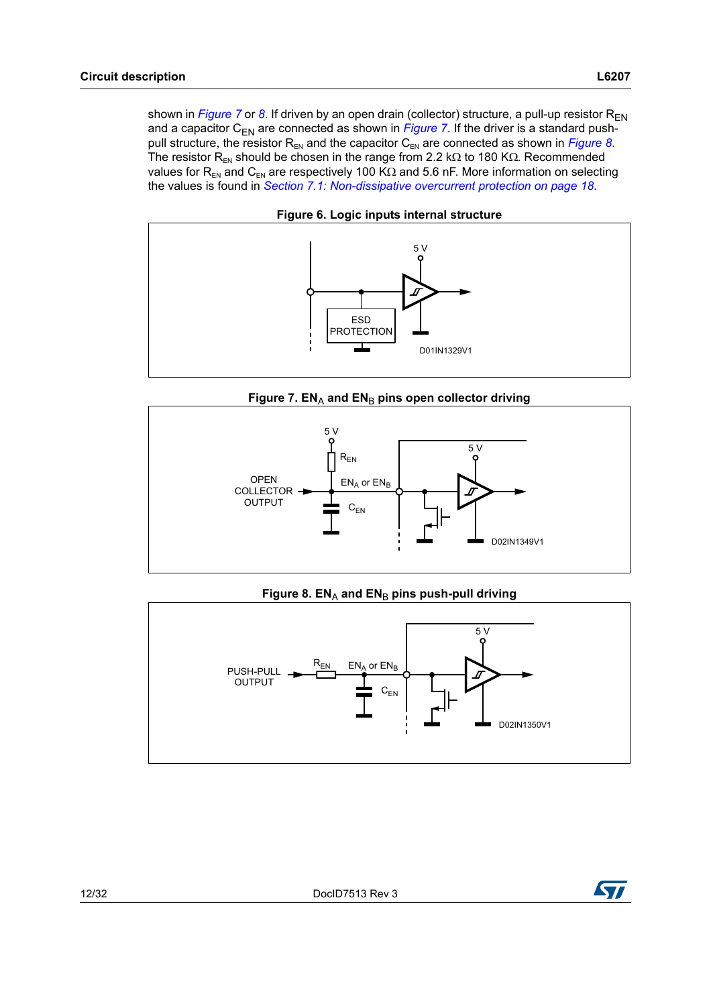shown in *Figure* 7 or [8](#page-11-2). If driven by an open drain (collector) structure, a pull-up resistor  $R_{FN}$ and a capacitor  $C_{FN}$  are connected as shown in *Figure* 7. If the driver is a standard pushpull structure, the resistor  $R_{EN}$  and the capacitor  $C_{EN}$  are connected as shown in *[Figure 8](#page-11-2)*. The resistor R<sub>EN</sub> should be chosen in the range from 2.2 k $\Omega$  to 180 K $\Omega$ . Recommended values for  $R_{EN}$  and  $C_{EN}$  are respectively 100 K $\Omega$  and 5.6 nF. More information on selecting the values is found in *[Section 7.1: Non-dissipative overcurrent protection on page 18](#page-17-1)*.

<span id="page-11-0"></span>![](_page_11_Figure_2.jpeg)

**Figure 6. Logic inputs internal structure**

![](_page_11_Figure_4.jpeg)

<span id="page-11-1"></span>![](_page_11_Figure_5.jpeg)

Figure 8. EN<sub>A</sub> and EN<sub>B</sub> pins push-pull driving

<span id="page-11-2"></span>![](_page_11_Figure_7.jpeg)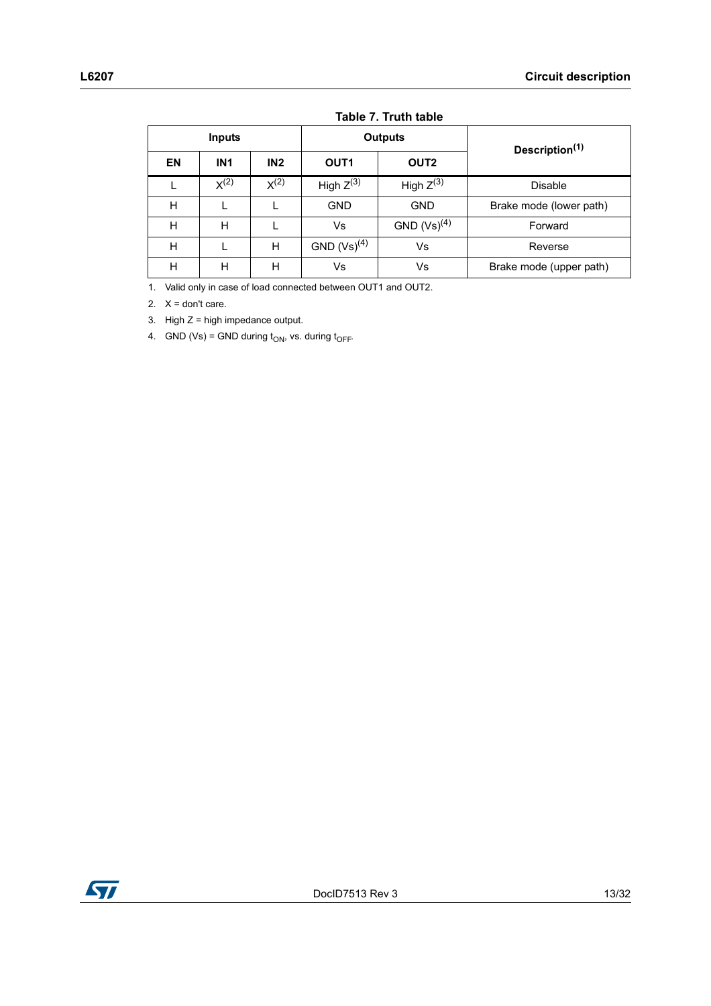|    | <b>Inputs</b>   |                  |                                      | <b>Outputs</b>   | Description <sup>(1)</sup> |  |  |
|----|-----------------|------------------|--------------------------------------|------------------|----------------------------|--|--|
| EN | IN <sub>1</sub> | IN2              | OUT <sub>2</sub><br>OUT <sub>1</sub> |                  |                            |  |  |
|    | $X^{(2)}$       | X <sup>(2)</sup> | High $Z^{(3)}$                       | High $Z^{(3)}$   | <b>Disable</b>             |  |  |
| н  |                 |                  | <b>GND</b>                           | <b>GND</b>       | Brake mode (lower path)    |  |  |
| Н  | н               |                  | Vs                                   | $GND (Vs)^{(4)}$ | Forward                    |  |  |
| Н  |                 | н                | GND $(Vs)^{(4)}$                     | Vs               | Reverse                    |  |  |
| H  | н               | н                | Vs                                   | Vs               | Brake mode (upper path)    |  |  |

#### **Table 7. Truth table**

1. Valid only in case of load connected between OUT1 and OUT2.

2.  $X =$  don't care.

3. High  $Z =$  high impedance output.

4. GND (Vs) = GND during  $t_{ON}$ , vs. during  $t_{OFF}$ .

![](_page_12_Picture_8.jpeg)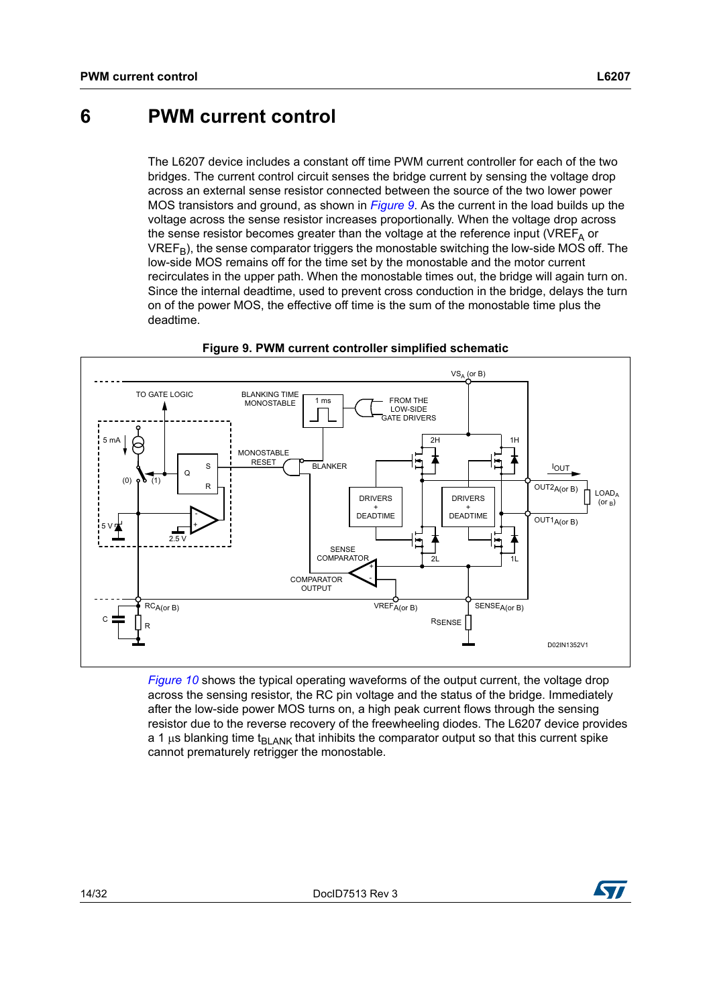## <span id="page-13-0"></span>**6 PWM current control**

The L6207 device includes a constant off time PWM current controller for each of the two bridges. The current control circuit senses the bridge current by sensing the voltage drop across an external sense resistor connected between the source of the two lower power MOS transistors and ground, as shown in *[Figure 9](#page-13-1)*. As the current in the load builds up the voltage across the sense resistor increases proportionally. When the voltage drop across the sense resistor becomes greater than the voltage at the reference input (VREF<sub> $\triangle$ </sub> or  $VREF_B$ ), the sense comparator triggers the monostable switching the low-side MOS off. The low-side MOS remains off for the time set by the monostable and the motor current recirculates in the upper path. When the monostable times out, the bridge will again turn on. Since the internal deadtime, used to prevent cross conduction in the bridge, delays the turn on of the power MOS, the effective off time is the sum of the monostable time plus the deadtime.

<span id="page-13-1"></span>![](_page_13_Figure_4.jpeg)

![](_page_13_Figure_5.jpeg)

*[Figure 10](#page-14-0)* shows the typical operating waveforms of the output current, the voltage drop across the sensing resistor, the RC pin voltage and the status of the bridge. Immediately after the low-side power MOS turns on, a high peak current flows through the sensing resistor due to the reverse recovery of the freewheeling diodes. The L6207 device provides a 1  $\mu$ s blanking time t<sub>BLANK</sub> that inhibits the comparator output so that this current spike cannot prematurely retrigger the monostable.

![](_page_13_Picture_8.jpeg)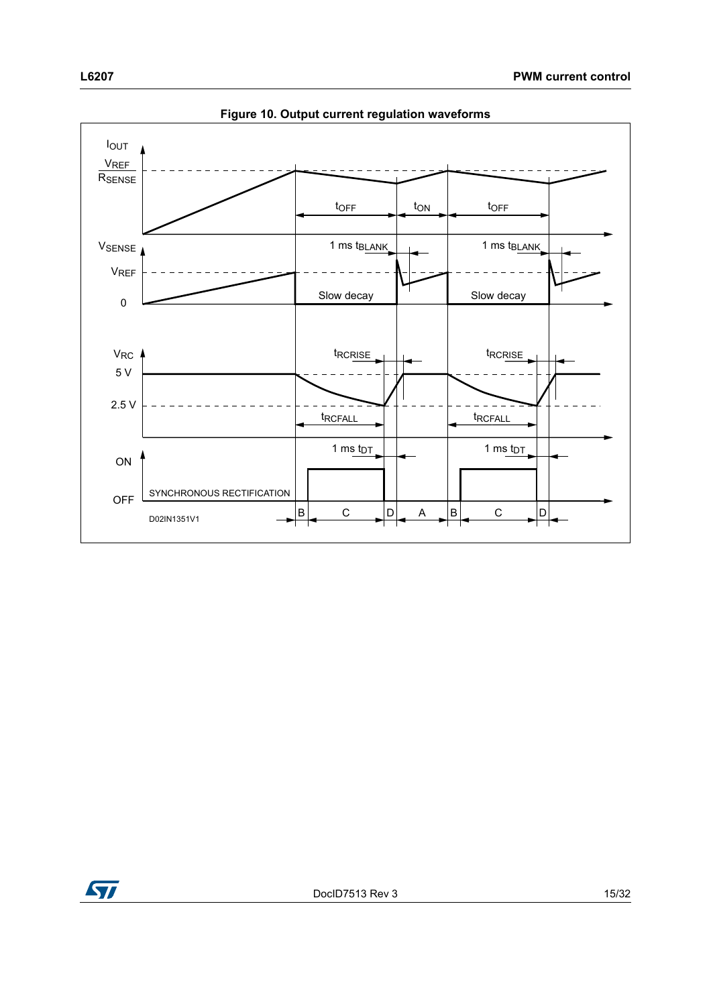<span id="page-14-0"></span>![](_page_14_Figure_2.jpeg)

**Figure 10. Output current regulation waveforms**

![](_page_14_Picture_4.jpeg)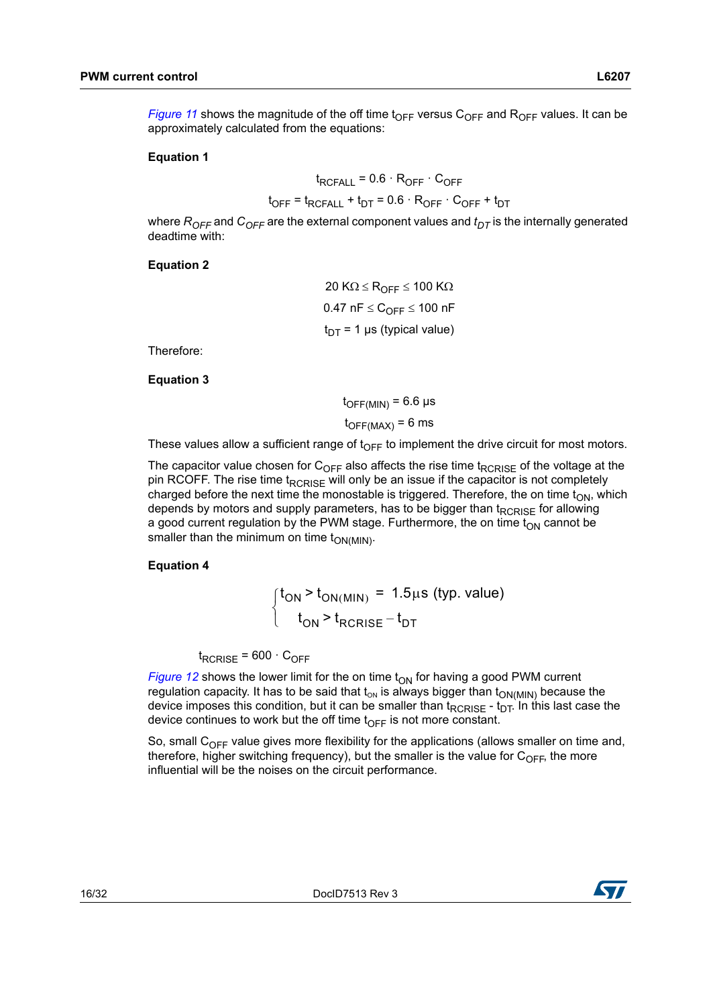*[Figure 11](#page-16-0)* shows the magnitude of the off time t<sub>OFF</sub> versus C<sub>OFF</sub> and R<sub>OFF</sub> values. It can be approximately calculated from the equations:

#### **Equation 1**

$$
t_{RCFALL} = 0.6 \cdot R_{OFF} \cdot C_{OFF}
$$

$$
t_{OFF} = t_{RCFALL} + t_{DT} = 0.6 \cdot R_{OFF} \cdot C_{OFF} + t_{DT}
$$

where  $R_{OFF}$  and  $C_{OFF}$  are the external component values and  $t_{DT}$  is the internally generated deadtime with:

#### **Equation 2**

20 K $\Omega \leq R_{OFF} \leq 100$  K $\Omega$  $0.47$  nF  $\leq$   $C_{\text{OFF}}$   $\leq$  100 nF  $t_{DT}$  = 1 µs (typical value)

Therefore:

**Equation 3**

 $t_{\text{OFF(MIN)}}$  = 6.6 µs

 $t_{\text{OFF}(MAX)} = 6$  ms

These values allow a sufficient range of  $t_{\text{OFF}}$  to implement the drive circuit for most motors.

The capacitor value chosen for  $C_{OFF}$  also affects the rise time t<sub>RCRISE</sub> of the voltage at the pin RCOFF. The rise time  $t_{RCRISE}$  will only be an issue if the capacitor is not completely charged before the next time the monostable is triggered. Therefore, the on time  $t_{ON}$ , which depends by motors and supply parameters, has to be bigger than t<sub>RCRISE</sub> for allowing a good current regulation by the PWM stage. Furthermore, the on time  $t_{ON}$  cannot be smaller than the minimum on time  $t_{ON(MIN)}$ .

#### **Equation 4**

$$
\begin{cases} t_{\text{ON}} > t_{\text{ON}(\text{MIN})} = 1.5 \mu\text{s (typ. value)} \\ t_{\text{ON}} > t_{\text{RCRISE}} - t_{\text{DT}} \end{cases}
$$

 $t_{RCRISE}$  = 600  $\cdot$  C<sub>OFF</sub>

*[Figure 12](#page-16-1)* shows the lower limit for the on time  $t_{ON}$  for having a good PWM current regulation capacity. It has to be said that  $t_{ON}$  is always bigger than  $t_{ON(MIN)}$  because the device imposes this condition, but it can be smaller than  $t_{RCRISE}$  -  $t_{DT}$ . In this last case the device continues to work but the off time  $t_{\text{OFF}}$  is not more constant.

So, small  $C_{\text{OFF}}$  value gives more flexibility for the applications (allows smaller on time and, therefore, higher switching frequency), but the smaller is the value for  $C_{OFF}$ , the more influential will be the noises on the circuit performance.

![](_page_15_Picture_20.jpeg)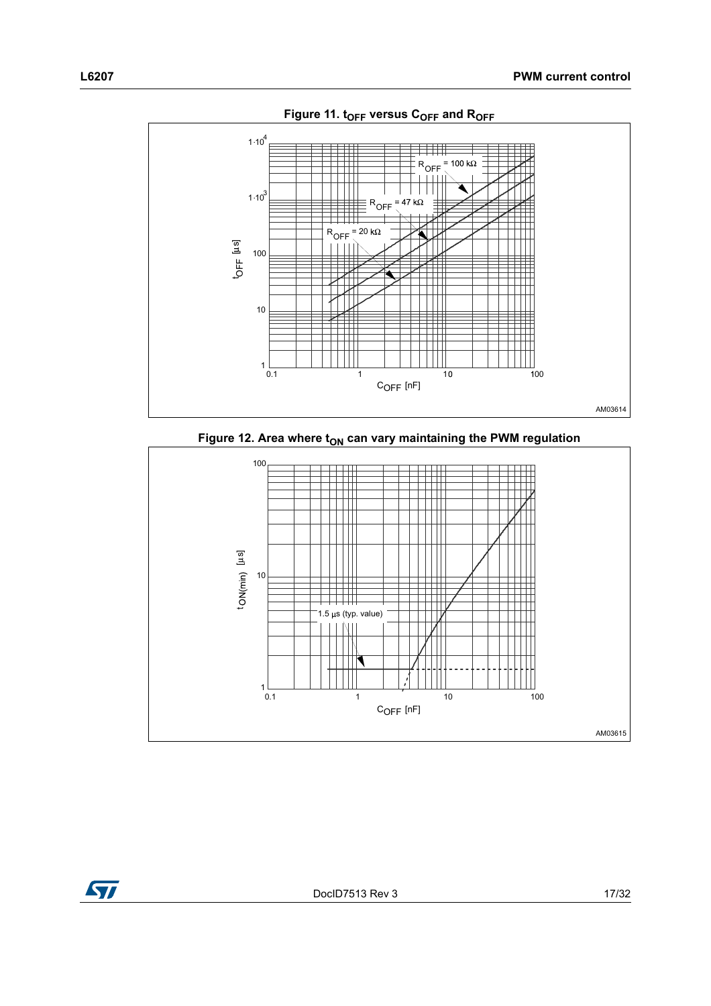<span id="page-16-0"></span>![](_page_16_Figure_1.jpeg)

![](_page_16_Figure_2.jpeg)

<span id="page-16-1"></span>![](_page_16_Figure_3.jpeg)

![](_page_16_Picture_4.jpeg)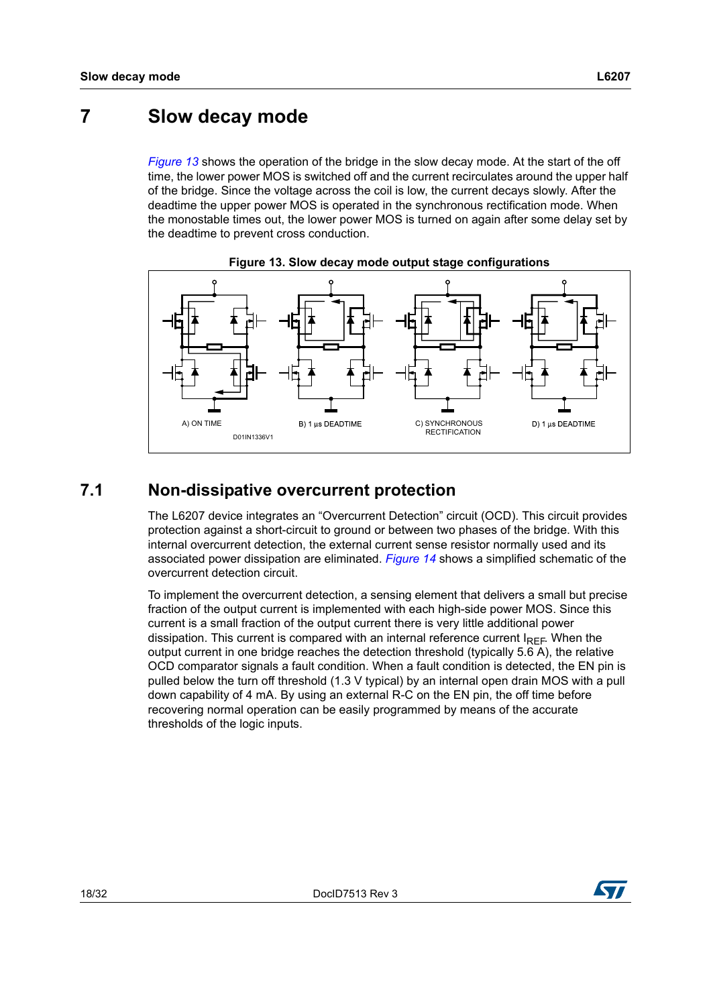## <span id="page-17-0"></span>**7 Slow decay mode**

*[Figure 13](#page-17-2)* shows the operation of the bridge in the slow decay mode. At the start of the off time, the lower power MOS is switched off and the current recirculates around the upper half of the bridge. Since the voltage across the coil is low, the current decays slowly. After the deadtime the upper power MOS is operated in the synchronous rectification mode. When the monostable times out, the lower power MOS is turned on again after some delay set by the deadtime to prevent cross conduction.

<span id="page-17-2"></span>![](_page_17_Figure_4.jpeg)

![](_page_17_Figure_5.jpeg)

#### <span id="page-17-1"></span>**7.1 Non-dissipative overcurrent protection**

The L6207 device integrates an "Overcurrent Detection" circuit (OCD). This circuit provides protection against a short-circuit to ground or between two phases of the bridge. With this internal overcurrent detection, the external current sense resistor normally used and its associated power dissipation are eliminated. *[Figure 14](#page-18-0)* shows a simplified schematic of the overcurrent detection circuit.

To implement the overcurrent detection, a sensing element that delivers a small but precise fraction of the output current is implemented with each high-side power MOS. Since this current is a small fraction of the output current there is very little additional power dissipation. This current is compared with an internal reference current  $I_{RFE}$ . When the output current in one bridge reaches the detection threshold (typically 5.6 A), the relative OCD comparator signals a fault condition. When a fault condition is detected, the EN pin is pulled below the turn off threshold (1.3 V typical) by an internal open drain MOS with a pull down capability of 4 mA. By using an external R-C on the EN pin, the off time before recovering normal operation can be easily programmed by means of the accurate thresholds of the logic inputs.

![](_page_17_Picture_9.jpeg)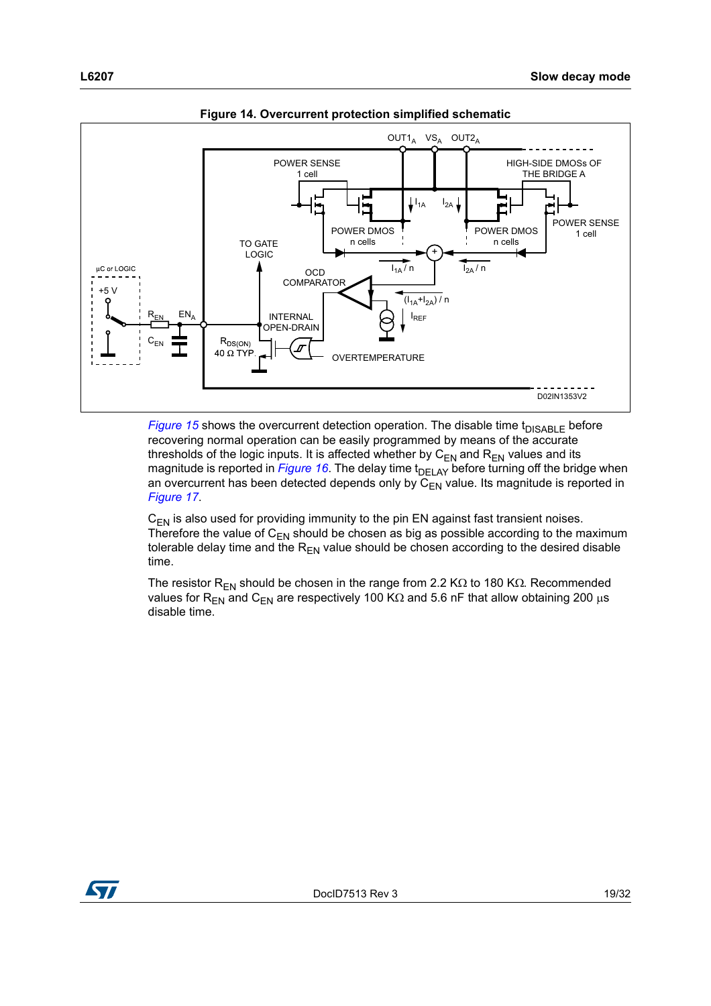<span id="page-18-0"></span>![](_page_18_Figure_1.jpeg)

**Figure 14. Overcurrent protection simplified schematic**

*[Figure 15](#page-19-0)* shows the overcurrent detection operation. The disable time  $t_{DISABLE}$  before recovering normal operation can be easily programmed by means of the accurate thresholds of the logic inputs. It is affected whether by  $C_{EN}$  and  $R_{EN}$  values and its magnitude is reported in *[Figure 16](#page-19-1)*. The delay time t<sub>DELAY</sub> before turning off the bridge when an overcurrent has been detected depends only by  $C_{EN}$  value. Its magnitude is reported in *[Figure 17](#page-20-1)*.

 $C_{FN}$  is also used for providing immunity to the pin EN against fast transient noises. Therefore the value of  $C_{EN}$  should be chosen as big as possible according to the maximum tolerable delay time and the  $R_{EN}$  value should be chosen according to the desired disable time.

The resistor R<sub>EN</sub> should be chosen in the range from 2.2 K $\Omega$  to 180 K $\Omega$ . Recommended values for R<sub>EN</sub> and C<sub>EN</sub> are respectively 100 K $\Omega$  and 5.6 nF that allow obtaining 200  $\mu$ s disable time.

![](_page_18_Picture_6.jpeg)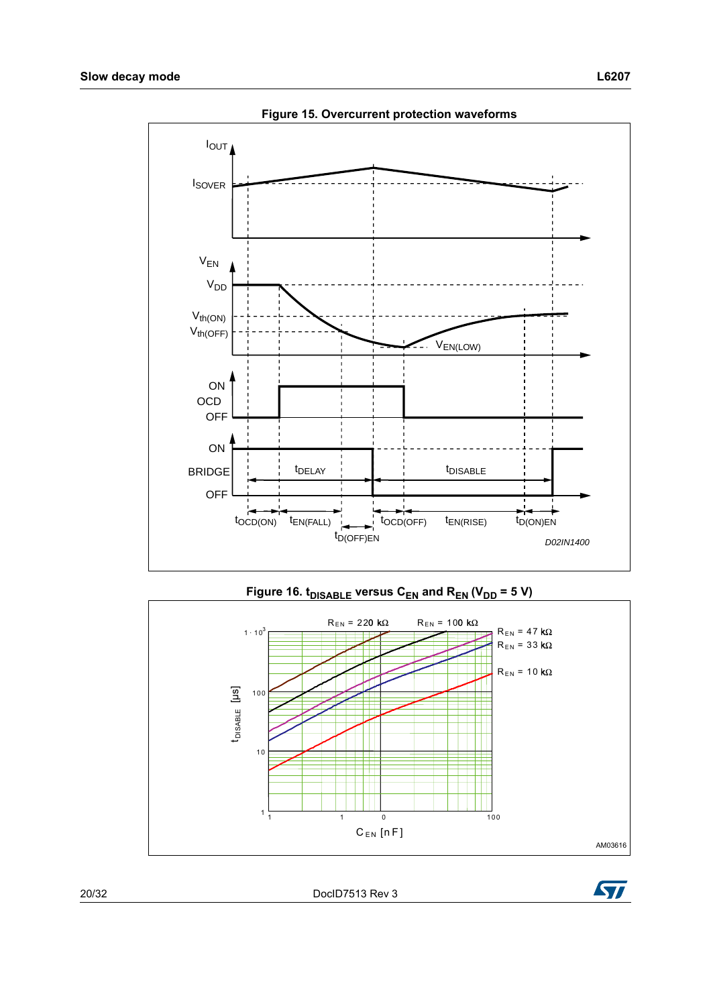<span id="page-19-0"></span>![](_page_19_Figure_1.jpeg)

**Figure 15. Overcurrent protection waveforms**

<span id="page-19-1"></span>![](_page_19_Figure_3.jpeg)

20/32 DocID7513 Rev 3

![](_page_19_Picture_6.jpeg)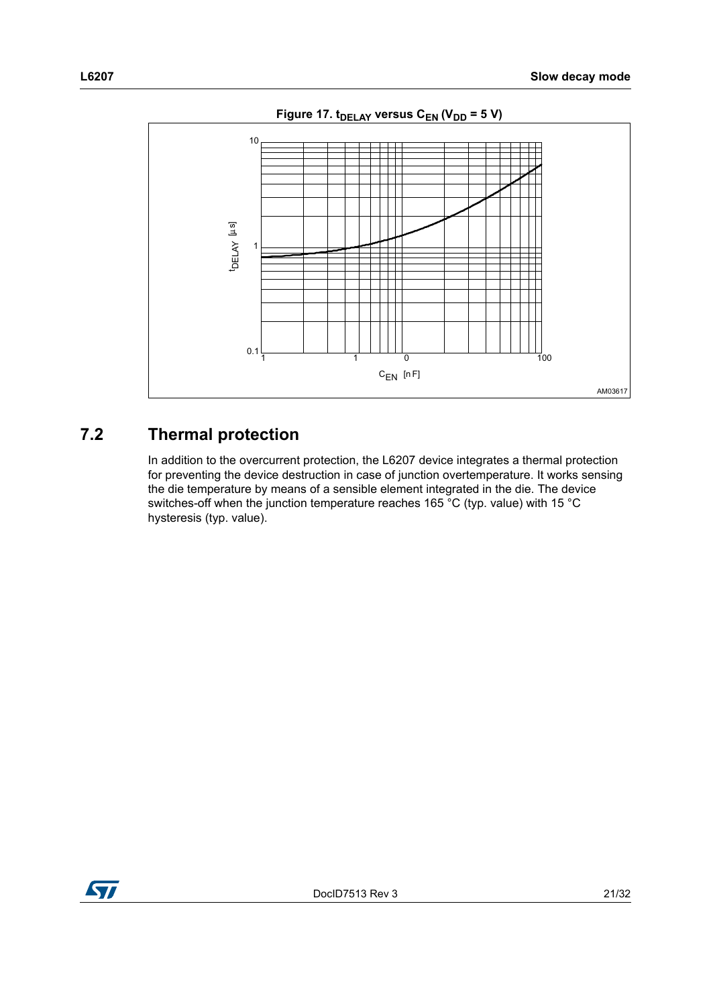<span id="page-20-1"></span>![](_page_20_Figure_1.jpeg)

Figure 17. t<sub>DELAY</sub> versus C<sub>EN</sub> (V<sub>DD</sub> = 5 V)

## <span id="page-20-0"></span>**7.2 Thermal protection**

In addition to the overcurrent protection, the L6207 device integrates a thermal protection for preventing the device destruction in case of junction overtemperature. It works sensing the die temperature by means of a sensible element integrated in the die. The device switches-off when the junction temperature reaches 165 °C (typ. value) with 15 °C hysteresis (typ. value).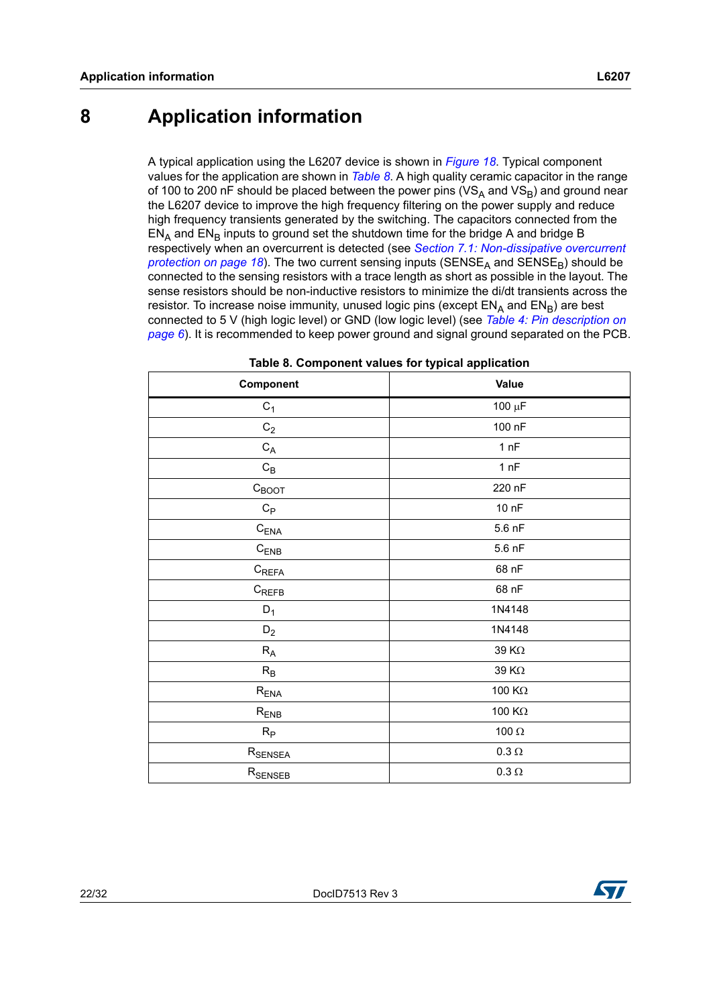## <span id="page-21-0"></span>**8 Application information**

A typical application using the L6207 device is shown in *[Figure 18](#page-22-1)*. Typical component values for the application are shown in *[Table 8](#page-21-1)*. A high quality ceramic capacitor in the range of 100 to 200 nF should be placed between the power pins ( $VS_A$  and  $VS_B$ ) and ground near the L6207 device to improve the high frequency filtering on the power supply and reduce high frequency transients generated by the switching. The capacitors connected from the  $EN<sub>A</sub>$  and  $EN<sub>B</sub>$  inputs to ground set the shutdown time for the bridge A and bridge B respectively when an overcurrent is detected (see *[Section 7.1: Non-dissipative overcurrent](#page-17-1)  [protection on page 18](#page-17-1)*). The two current sensing inputs (SENSE<sub>A</sub> and SENSE<sub>R</sub>) should be connected to the sensing resistors with a trace length as short as possible in the layout. The sense resistors should be non-inductive resistors to minimize the di/dt transients across the resistor. To increase noise immunity, unused logic pins (except  $EN_A$  and  $EN_B$ ) are best connected to 5 V (high logic level) or GND (low logic level) (see *[Table 4: Pin description on](#page-5-1)  [page 6](#page-5-1)*). It is recommended to keep power ground and signal ground separated on the PCB.

<span id="page-21-1"></span>

| Component                    | <b>Value</b>  |  |  |
|------------------------------|---------------|--|--|
| $C_1$                        | 100 $\mu$ F   |  |  |
| $\mathrm{C}_2$               | 100 nF        |  |  |
| $\mathrm{C}_{\mathsf{A}}$    | 1 nF          |  |  |
| $\mathrm{C}_{\mathsf{B}}$    | 1 nF          |  |  |
| $C_{\text{BOOT}}$            | 220 nF        |  |  |
| $C_{\mathsf{P}}$             | 10 nF         |  |  |
| $C_{ENA}$                    | 5.6 nF        |  |  |
| $C_{ENB}$                    | 5.6 nF        |  |  |
| $\mathsf{C}_{\mathsf{REFA}}$ | 68 nF         |  |  |
| $\mathsf{C}_{\mathsf{REFB}}$ | 68 nF         |  |  |
| $D_1$                        | 1N4148        |  |  |
| $D_2$                        | 1N4148        |  |  |
| $R_A$                        | 39 K $\Omega$ |  |  |
| $R_B$                        | 39 $K\Omega$  |  |  |
| $R_{ENA}$                    | 100 $K\Omega$ |  |  |
| $R_{ENB}$                    | 100 $K\Omega$ |  |  |
| $R_{\mathsf{P}}$             | 100 $\Omega$  |  |  |
| R <sub>SENSEA</sub>          | $0.3\,\Omega$ |  |  |
| $R_{\rm SENSEB}$             | $0.3\,\Omega$ |  |  |

|  | Table 8. Component values for typical application |  |  |  |  |
|--|---------------------------------------------------|--|--|--|--|
|--|---------------------------------------------------|--|--|--|--|

![](_page_21_Picture_6.jpeg)

![](_page_21_Picture_7.jpeg)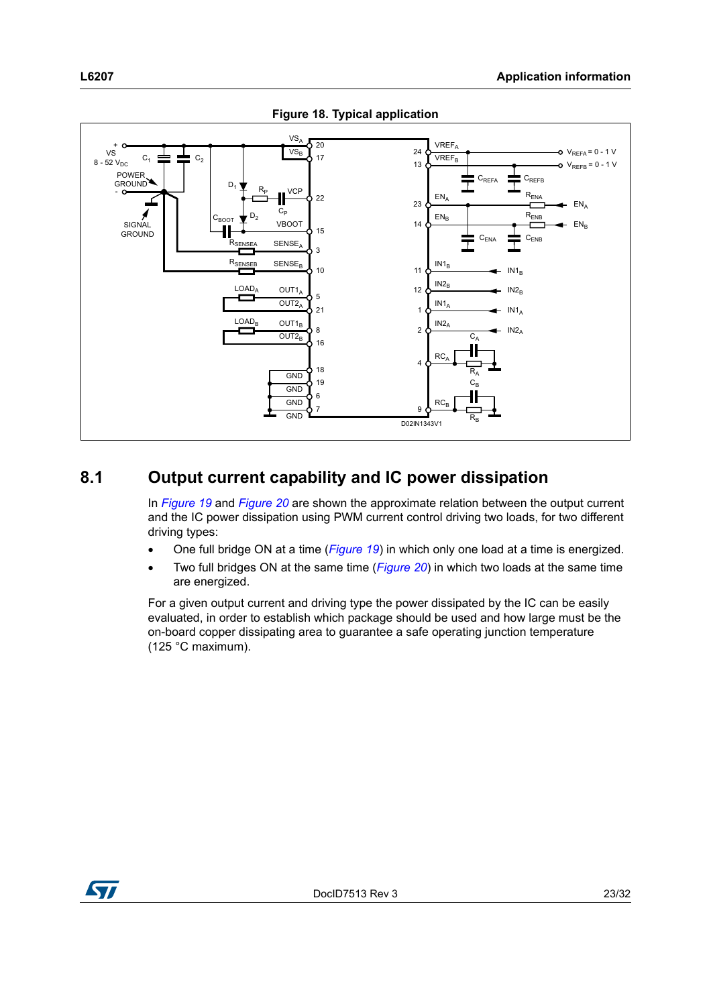<span id="page-22-1"></span>![](_page_22_Figure_1.jpeg)

#### **Figure 18. Typical application**

## <span id="page-22-0"></span>**8.1 Output current capability and IC power dissipation**

In *[Figure 19](#page-23-0)* and *[Figure 20](#page-23-1)* are shown the approximate relation between the output current and the IC power dissipation using PWM current control driving two loads, for two different driving types:

- One full bridge ON at a time (*[Figure 19](#page-23-0)*) in which only one load at a time is energized.
- Two full bridges ON at the same time (*[Figure 20](#page-23-1)*) in which two loads at the same time are energized.

For a given output current and driving type the power dissipated by the IC can be easily evaluated, in order to establish which package should be used and how large must be the on-board copper dissipating area to guarantee a safe operating junction temperature (125 °C maximum).

![](_page_22_Picture_8.jpeg)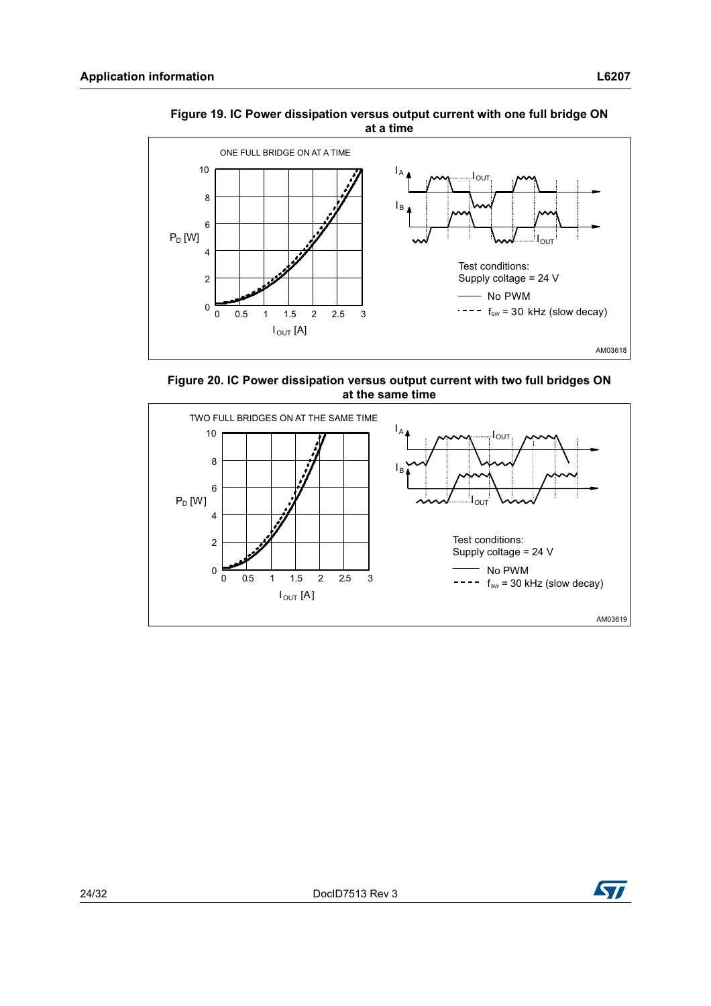![](_page_23_Figure_1.jpeg)

<span id="page-23-0"></span>**Figure 19. IC Power dissipation versus output current with one full bridge ON at a time**

<span id="page-23-1"></span>**Figure 20. IC Power dissipation versus output current with two full bridges ON at the same time**

![](_page_23_Figure_4.jpeg)

![](_page_23_Picture_6.jpeg)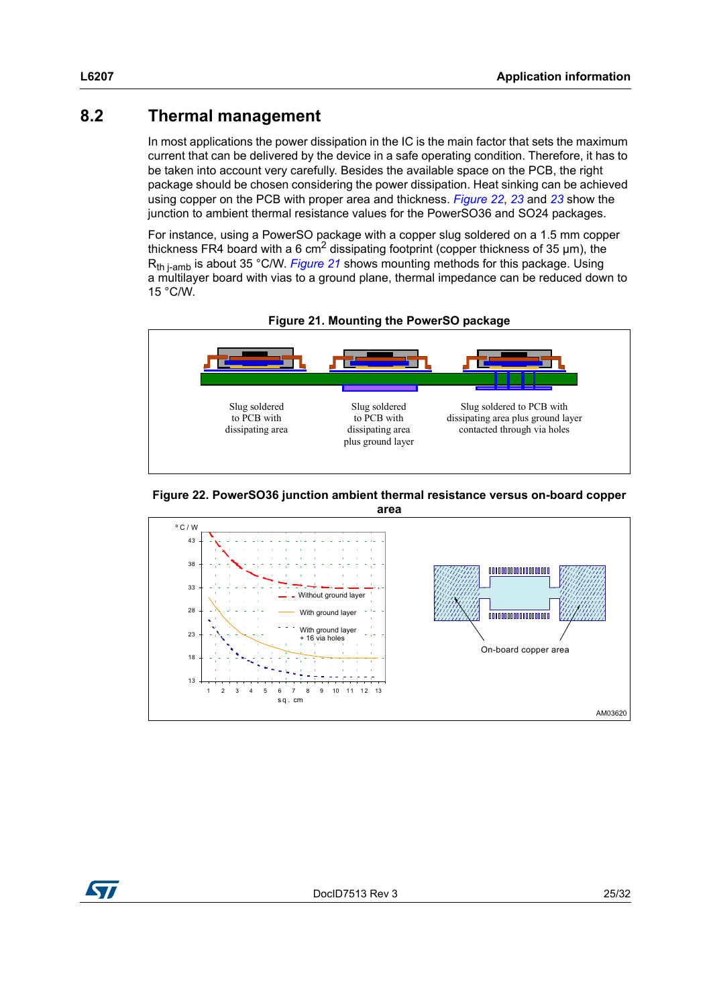## <span id="page-24-0"></span>**8.2 Thermal management**

In most applications the power dissipation in the IC is the main factor that sets the maximum current that can be delivered by the device in a safe operating condition. Therefore, it has to be taken into account very carefully. Besides the available space on the PCB, the right package should be chosen considering the power dissipation. Heat sinking can be achieved using copper on the PCB with proper area and thickness. *[Figure 22](#page-24-1)*, *[23](#page-25-0)* and *[23](#page-25-0)* show the junction to ambient thermal resistance values for the PowerSO36 and SO24 packages.

For instance, using a PowerSO package with a copper slug soldered on a 1.5 mm copper thickness FR4 board with a 6 cm<sup>2</sup> dissipating footprint (copper thickness of 35  $\mu$ m), the R<sub>th i-amb</sub> is about 35 °C/W. *[Figure 21](#page-24-2)* shows mounting methods for this package. Using a multilayer board with vias to a ground plane, thermal impedance can be reduced down to 15 °C/W.

<span id="page-24-2"></span>![](_page_24_Figure_4.jpeg)

<span id="page-24-1"></span>![](_page_24_Figure_5.jpeg)

![](_page_24_Figure_6.jpeg)

57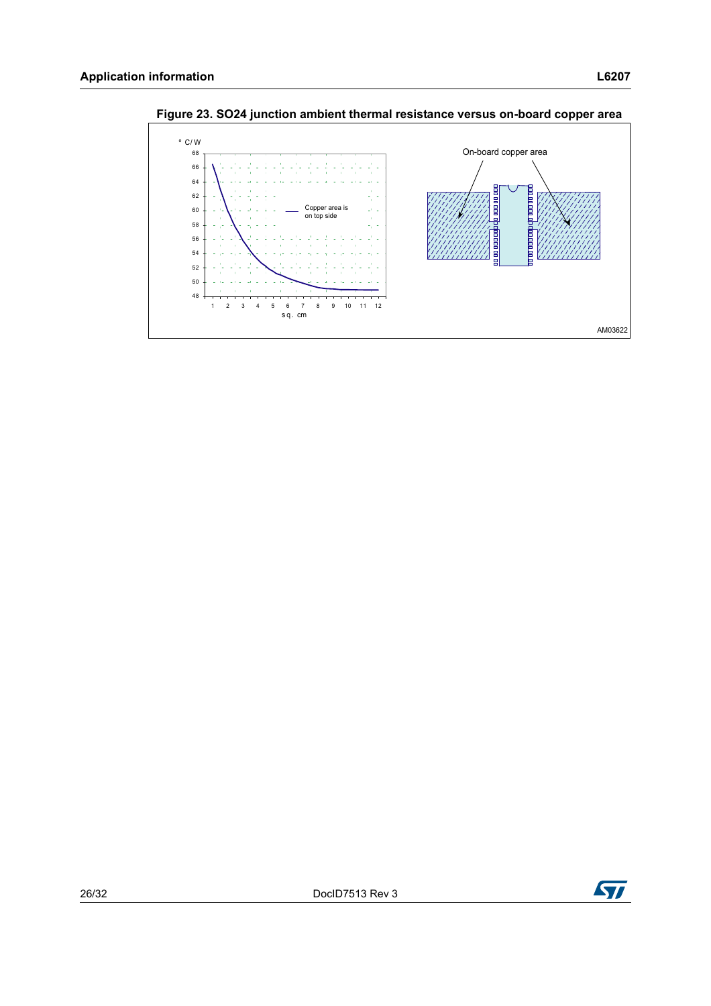![](_page_25_Figure_1.jpeg)

<span id="page-25-0"></span>**Figure 23. SO24 junction ambient thermal resistance versus on-board copper area**

![](_page_25_Picture_3.jpeg)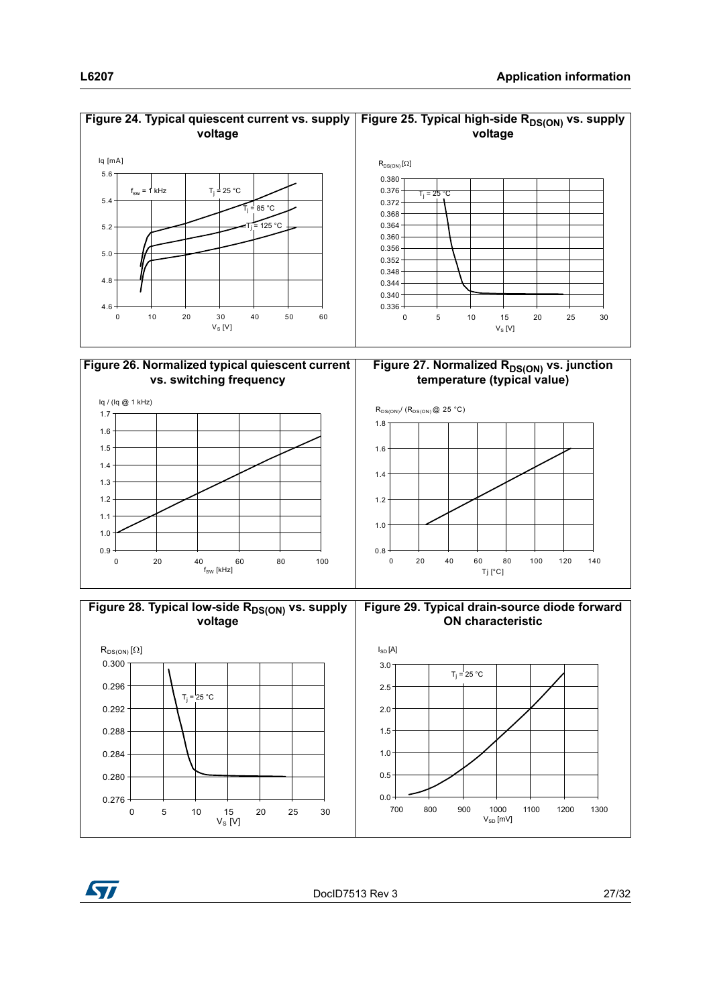![](_page_26_Figure_1.jpeg)

![](_page_26_Figure_2.jpeg)

#### **Figure 24. Typical quiescent current vs. supply**  Figure 25. Typical high-side R<sub>DS(ON)</sub> vs. supply

![](_page_26_Figure_4.jpeg)

![](_page_26_Figure_5.jpeg)

![](_page_26_Figure_6.jpeg)

![](_page_26_Figure_7.jpeg)

**Figure 29. Typical drain-source diode forward ON characteristic**

![](_page_26_Figure_9.jpeg)

![](_page_26_Picture_10.jpeg)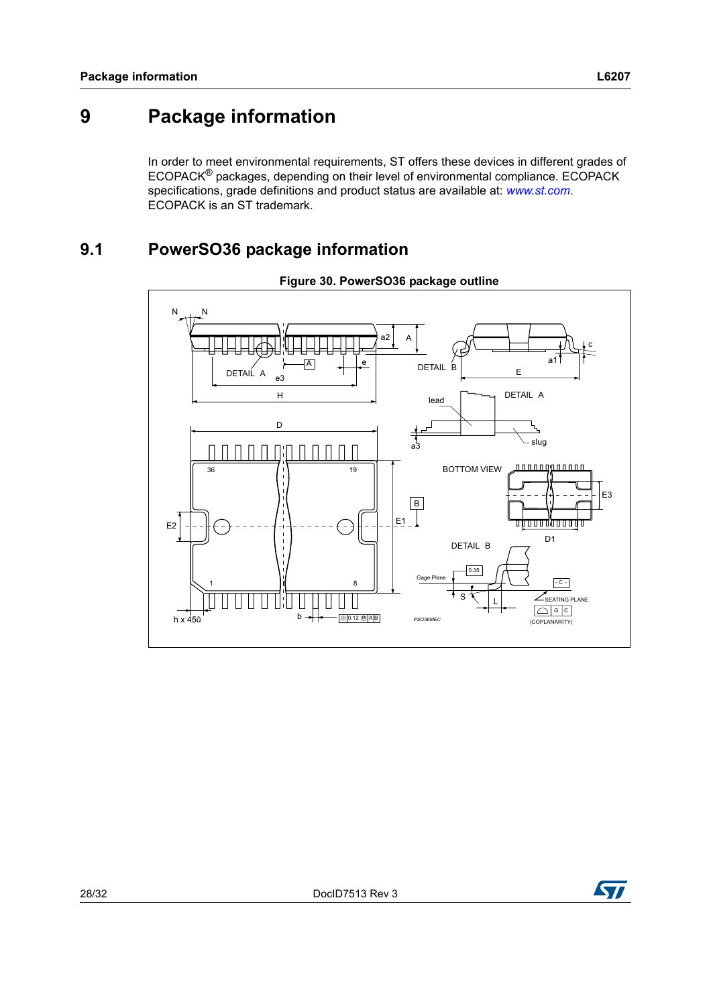# <span id="page-27-0"></span>**9 Package information**

In order to meet environmental requirements, ST offers these devices in different grades of ECOPACK® packages, depending on their level of environmental compliance. ECOPACK specifications, grade definitions and product status are available at: *[www.st.com](http://www.st.com)*. ECOPACK is an ST trademark.

## <span id="page-27-1"></span>**9.1 PowerSO36 package information**

![](_page_27_Figure_5.jpeg)

![](_page_27_Figure_6.jpeg)

![](_page_27_Picture_7.jpeg)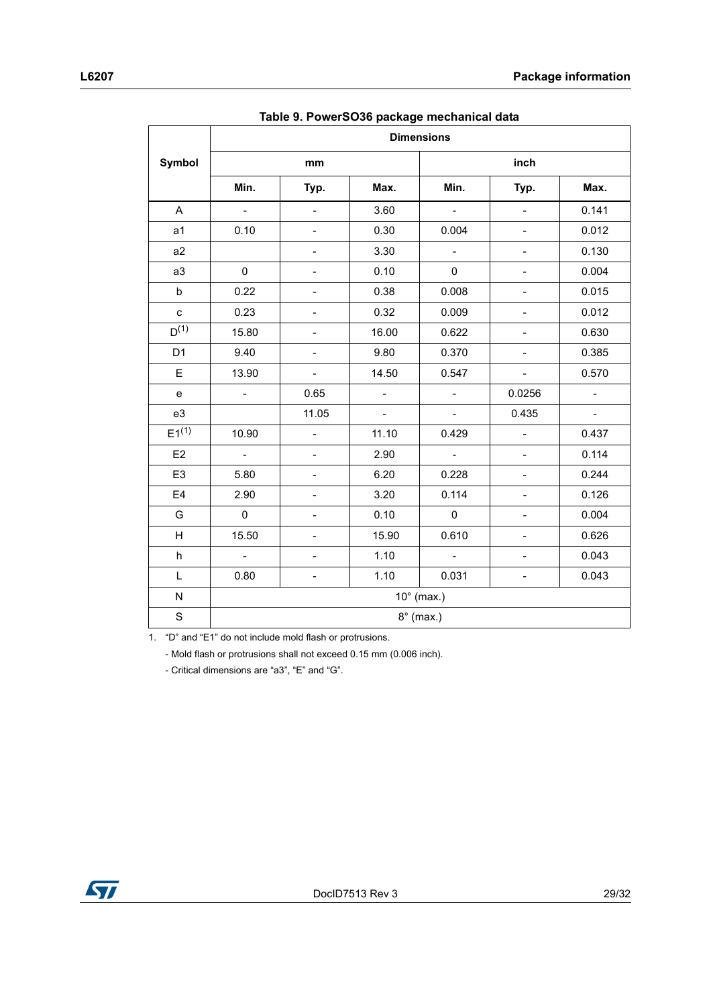|                | rasio or r offorocoo paoliago moonamoaraala<br><b>Dimensions</b> |                          |                |                             |                              |                          |  |  |
|----------------|------------------------------------------------------------------|--------------------------|----------------|-----------------------------|------------------------------|--------------------------|--|--|
| Symbol         |                                                                  | mm                       |                |                             | inch                         |                          |  |  |
|                | Min.                                                             | Typ.                     | Max.           | Min.                        | Typ.                         | Max.                     |  |  |
| A              | $\omega$                                                         | $\overline{\phantom{0}}$ | 3.60           | $\mathcal{L}_{\mathcal{A}}$ | $\Box$                       | 0.141                    |  |  |
| a <sub>1</sub> | 0.10                                                             | $\blacksquare$           | 0.30           | 0.004                       | $\blacksquare$               | 0.012                    |  |  |
| a2             |                                                                  | $\overline{\phantom{0}}$ | 3.30           | $\overline{\phantom{a}}$    | $\qquad \qquad -$            | 0.130                    |  |  |
| a3             | $\mathbf 0$                                                      | $\overline{a}$           | 0.10           | 0                           | $\overline{\phantom{0}}$     | 0.004                    |  |  |
| b              | 0.22                                                             | $\overline{\phantom{0}}$ | 0.38           | 0.008                       | $\qquad \qquad -$            | 0.015                    |  |  |
| $\mathbf{C}$   | 0.23                                                             | $\blacksquare$           | 0.32           | 0.009                       | $\overline{\phantom{a}}$     | 0.012                    |  |  |
| $D^{(1)}$      | 15.80                                                            | $\overline{\phantom{0}}$ | 16.00          | 0.622                       | $\qquad \qquad -$            | 0.630                    |  |  |
| D <sub>1</sub> | 9.40                                                             | $\overline{\phantom{a}}$ | 9.80           | 0.370                       | $\Box$                       | 0.385                    |  |  |
| E              | 13.90                                                            | $\Box$                   | 14.50          | 0.547                       | $\Box$                       | 0.570                    |  |  |
| e              | $\qquad \qquad -$                                                | 0.65                     | $\blacksquare$ | $\overline{\phantom{a}}$    | 0.0256                       | $\overline{\phantom{a}}$ |  |  |
| e3             |                                                                  | 11.05                    | $\blacksquare$ | $\blacksquare$              | 0.435                        | $\blacksquare$           |  |  |
| $E1^{(1)}$     | 10.90                                                            | $\overline{a}$           | 11.10          | 0.429                       | $\Box$                       | 0.437                    |  |  |
| E2             | $\mathbb{L}^{\mathbb{N}}$                                        | $\overline{\phantom{a}}$ | 2.90           | $\omega$                    | $\blacksquare$               | 0.114                    |  |  |
| E <sub>3</sub> | 5.80                                                             | $\overline{\phantom{0}}$ | 6.20           | 0.228                       | $\overline{\phantom{a}}$     | 0.244                    |  |  |
| E <sub>4</sub> | 2.90                                                             | $\overline{\phantom{0}}$ | 3.20           | 0.114                       | $\qquad \qquad \blacksquare$ | 0.126                    |  |  |
| G              | $\pmb{0}$                                                        | $\overline{\phantom{a}}$ | 0.10           | $\mathbf 0$                 | $\qquad \qquad -$            | 0.004                    |  |  |
| H              | 15.50                                                            | $\overline{\phantom{0}}$ | 15.90          | 0.610                       | $\blacksquare$               | 0.626                    |  |  |
| h              | $\equiv$                                                         | $\blacksquare$           | 1.10           | $\Box$                      | $\blacksquare$               | 0.043                    |  |  |
| L              | 0.80                                                             | -                        | 1.10           | 0.031                       | $\qquad \qquad \blacksquare$ | 0.043                    |  |  |
| ${\sf N}$      | $10^\circ$ (max.)                                                |                          |                |                             |                              |                          |  |  |
| $\mathbf S$    | $8^\circ$ (max.)                                                 |                          |                |                             |                              |                          |  |  |

**Table 9. PowerSO36 package mechanical data**

1. "D" and "E1" do not include mold flash or protrusions.

- Mold flash or protrusions shall not exceed 0.15 mm (0.006 inch).

- Critical dimensions are "a3", "E" and "G".

ST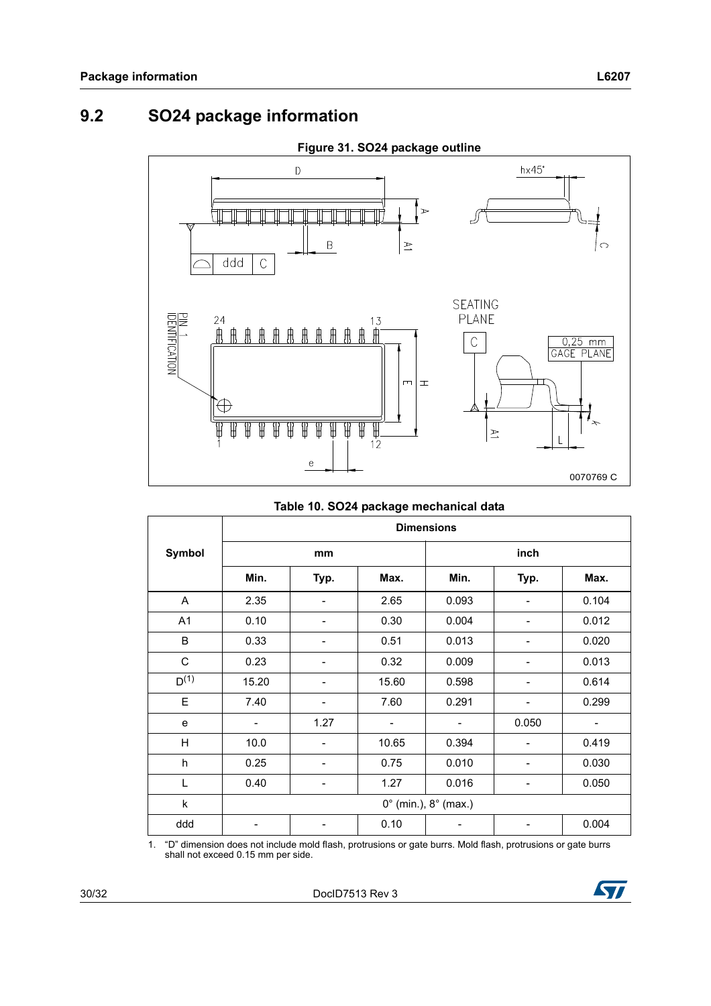## <span id="page-29-0"></span>**9.2 SO24 package information**

![](_page_29_Figure_3.jpeg)

#### **Table 10. SO24 package mechanical data**

|           | <b>Dimensions</b>                      |                          |       |       |                          |       |  |  |
|-----------|----------------------------------------|--------------------------|-------|-------|--------------------------|-------|--|--|
| Symbol    | mm                                     |                          |       | inch  |                          |       |  |  |
|           | Min.                                   | Typ.                     | Max.  | Min.  | Typ.                     | Max.  |  |  |
| A         | 2.35                                   |                          | 2.65  | 0.093 |                          | 0.104 |  |  |
| A1        | 0.10                                   | -                        | 0.30  | 0.004 | ۰                        | 0.012 |  |  |
| B         | 0.33                                   |                          | 0.51  | 0.013 |                          | 0.020 |  |  |
| C         | 0.23                                   |                          | 0.32  | 0.009 |                          | 0.013 |  |  |
| $D^{(1)}$ | 15.20                                  | $\overline{\phantom{0}}$ | 15.60 | 0.598 | $\overline{\phantom{0}}$ | 0.614 |  |  |
| E         | 7.40                                   |                          | 7.60  | 0.291 |                          | 0.299 |  |  |
| e         | -                                      | 1.27                     | -     |       | 0.050                    |       |  |  |
| H         | 10.0                                   | $\overline{\phantom{0}}$ | 10.65 | 0.394 | -                        | 0.419 |  |  |
| h         | 0.25                                   |                          | 0.75  | 0.010 |                          | 0.030 |  |  |
| L         | 0.40                                   |                          | 1.27  | 0.016 |                          | 0.050 |  |  |
| k         | $0^{\circ}$ (min.), $8^{\circ}$ (max.) |                          |       |       |                          |       |  |  |
| ddd       |                                        |                          | 0.10  |       |                          | 0.004 |  |  |

1. "D" dimension does not include mold flash, protrusions or gate burrs. Mold flash, protrusions or gate burrs shall not exceed 0.15 mm per side.

![](_page_29_Picture_8.jpeg)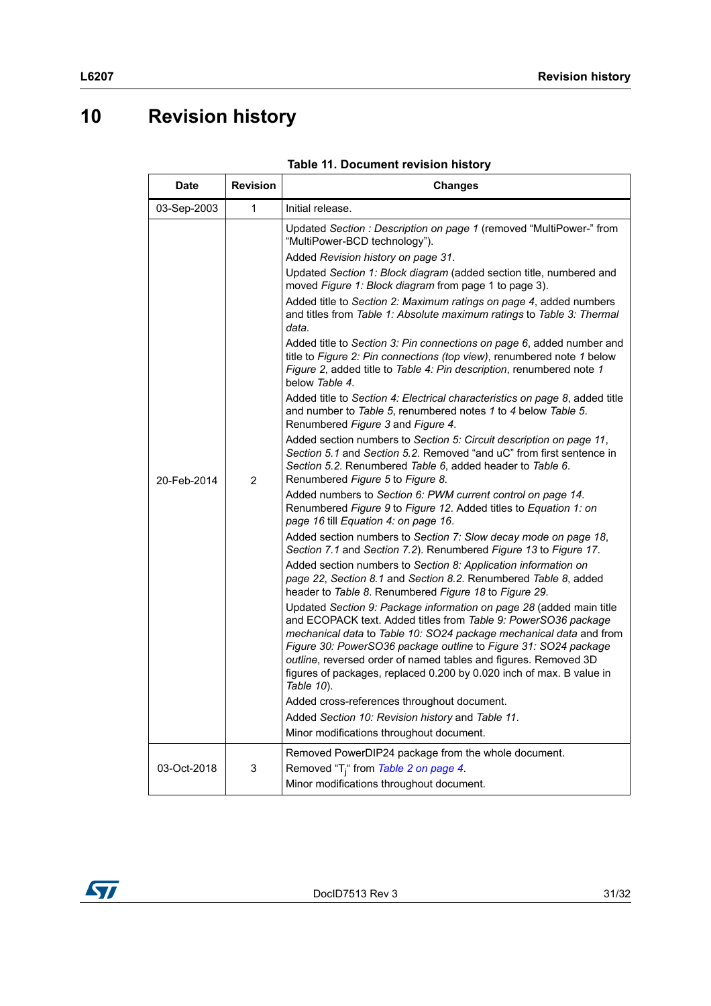# <span id="page-30-0"></span>**10 Revision history**

| <b>Date</b> | <b>Revision</b> | <b>Changes</b>                                                                                                                                                                                                                                                                                                                                                                                                                                                                                                                                                                                                                                                                                                                                                                                                                                                                                                                                                                                                                                                                                                                                                                                                                                                                                                                                                                                                                                                                                                                                                                                                                                                                                                                                                                                                                                                                                                                                                                                                                                                                                                                                                                                                                |  |  |
|-------------|-----------------|-------------------------------------------------------------------------------------------------------------------------------------------------------------------------------------------------------------------------------------------------------------------------------------------------------------------------------------------------------------------------------------------------------------------------------------------------------------------------------------------------------------------------------------------------------------------------------------------------------------------------------------------------------------------------------------------------------------------------------------------------------------------------------------------------------------------------------------------------------------------------------------------------------------------------------------------------------------------------------------------------------------------------------------------------------------------------------------------------------------------------------------------------------------------------------------------------------------------------------------------------------------------------------------------------------------------------------------------------------------------------------------------------------------------------------------------------------------------------------------------------------------------------------------------------------------------------------------------------------------------------------------------------------------------------------------------------------------------------------------------------------------------------------------------------------------------------------------------------------------------------------------------------------------------------------------------------------------------------------------------------------------------------------------------------------------------------------------------------------------------------------------------------------------------------------------------------------------------------------|--|--|
| 03-Sep-2003 | 1               | Initial release.                                                                                                                                                                                                                                                                                                                                                                                                                                                                                                                                                                                                                                                                                                                                                                                                                                                                                                                                                                                                                                                                                                                                                                                                                                                                                                                                                                                                                                                                                                                                                                                                                                                                                                                                                                                                                                                                                                                                                                                                                                                                                                                                                                                                              |  |  |
| 20-Feb-2014 | $\overline{2}$  | Updated Section: Description on page 1 (removed "MultiPower-" from<br>"MultiPower-BCD technology").<br>Added Revision history on page 31.<br>Updated Section 1: Block diagram (added section title, numbered and<br>moved Figure 1: Block diagram from page 1 to page 3).<br>Added title to Section 2: Maximum ratings on page 4, added numbers<br>and titles from Table 1: Absolute maximum ratings to Table 3: Thermal<br>data.<br>Added title to Section 3: Pin connections on page 6, added number and<br>title to Figure 2: Pin connections (top view), renumbered note 1 below<br>Figure 2, added title to Table 4: Pin description, renumbered note 1<br>below Table 4.<br>Added title to Section 4: Electrical characteristics on page 8, added title<br>and number to Table 5, renumbered notes 1 to 4 below Table 5.<br>Renumbered Figure 3 and Figure 4.<br>Added section numbers to Section 5: Circuit description on page 11,<br>Section 5.1 and Section 5.2. Removed "and uC" from first sentence in<br>Section 5.2. Renumbered Table 6, added header to Table 6.<br>Renumbered Figure 5 to Figure 8.<br>Added numbers to Section 6: PWM current control on page 14.<br>Renumbered Figure 9 to Figure 12. Added titles to Equation 1: on<br>page 16 till Equation 4: on page 16.<br>Added section numbers to Section 7: Slow decay mode on page 18,<br>Section 7.1 and Section 7.2). Renumbered Figure 13 to Figure 17.<br>Added section numbers to Section 8: Application information on<br>page 22, Section 8.1 and Section 8.2. Renumbered Table 8, added<br>header to Table 8. Renumbered Figure 18 to Figure 29.<br>Updated Section 9: Package information on page 28 (added main title<br>and ECOPACK text. Added titles from Table 9: PowerSO36 package<br>mechanical data to Table 10: SO24 package mechanical data and from<br>Figure 30: PowerSO36 package outline to Figure 31: SO24 package<br>outline, reversed order of named tables and figures. Removed 3D<br>figures of packages, replaced 0.200 by 0.020 inch of max. B value in<br>Table 10).<br>Added cross-references throughout document.<br>Added Section 10: Revision history and Table 11.<br>Minor modifications throughout document. |  |  |
| 03-Oct-2018 | 3               | Removed PowerDIP24 package from the whole document.<br>Removed "T <sub>i</sub> " from Table 2 on page 4.                                                                                                                                                                                                                                                                                                                                                                                                                                                                                                                                                                                                                                                                                                                                                                                                                                                                                                                                                                                                                                                                                                                                                                                                                                                                                                                                                                                                                                                                                                                                                                                                                                                                                                                                                                                                                                                                                                                                                                                                                                                                                                                      |  |  |
|             |                 | Minor modifications throughout document.                                                                                                                                                                                                                                                                                                                                                                                                                                                                                                                                                                                                                                                                                                                                                                                                                                                                                                                                                                                                                                                                                                                                                                                                                                                                                                                                                                                                                                                                                                                                                                                                                                                                                                                                                                                                                                                                                                                                                                                                                                                                                                                                                                                      |  |  |

![](_page_30_Picture_4.jpeg)